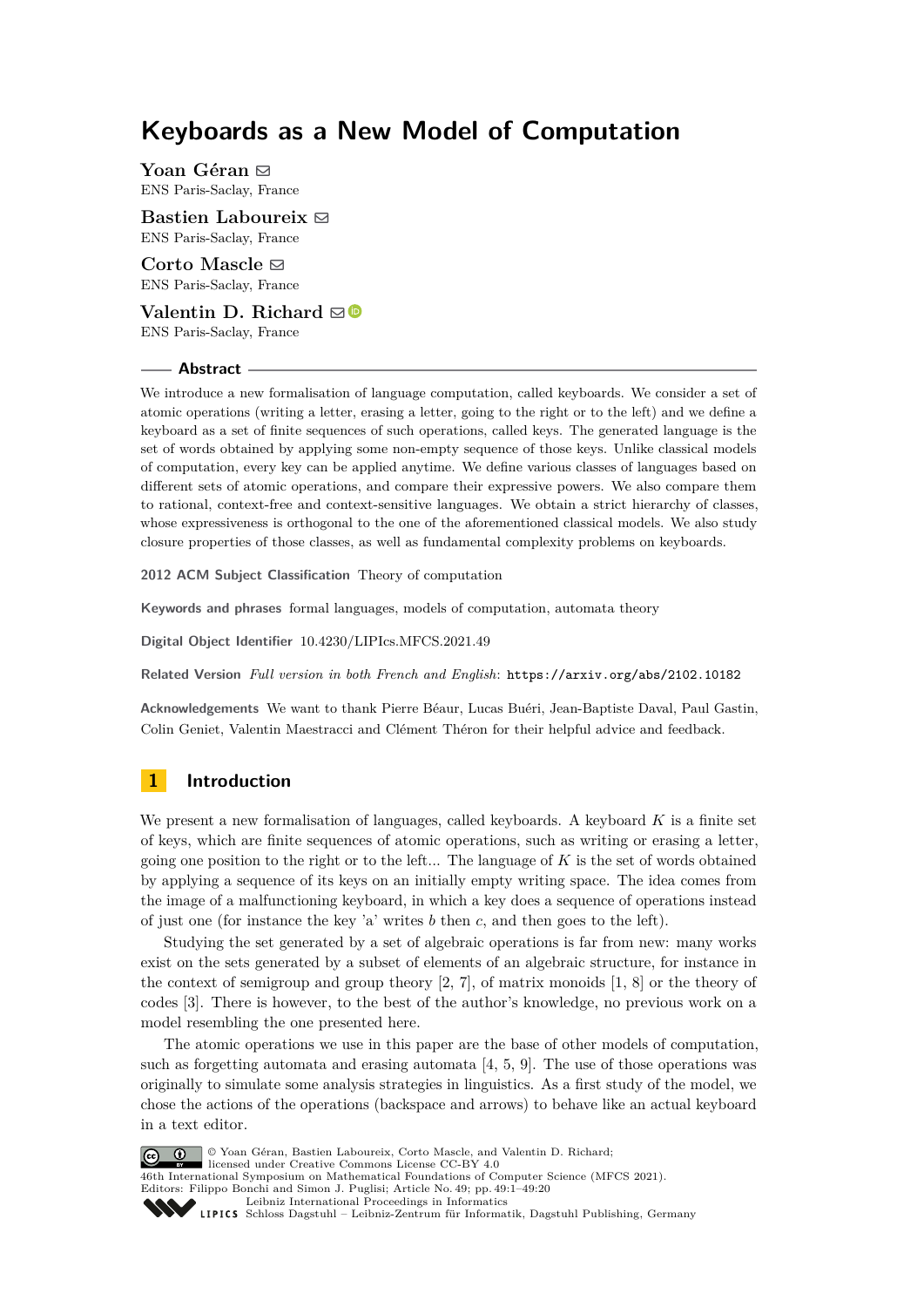# **Keyboards as a New Model of Computation**

**Yoan Géran** ⊠ ENS Paris-Saclay, France

**Bastien Laboureix** [#](mailto:bastien.laboureix@ens-paris-saclay.fr) ENS Paris-Saclay, France

**Corto Mascle**  $\boxtimes$ ENS Paris-Saclay, France

**Valentin D. Richard**  $\boxtimes$ ENS Paris-Saclay, France

#### **Abstract**

We introduce a new formalisation of language computation, called keyboards. We consider a set of atomic operations (writing a letter, erasing a letter, going to the right or to the left) and we define a keyboard as a set of finite sequences of such operations, called keys. The generated language is the set of words obtained by applying some non-empty sequence of those keys. Unlike classical models of computation, every key can be applied anytime. We define various classes of languages based on different sets of atomic operations, and compare their expressive powers. We also compare them to rational, context-free and context-sensitive languages. We obtain a strict hierarchy of classes, whose expressiveness is orthogonal to the one of the aforementioned classical models. We also study closure properties of those classes, as well as fundamental complexity problems on keyboards.

**2012 ACM Subject Classification** Theory of computation

**Keywords and phrases** formal languages, models of computation, automata theory

**Digital Object Identifier** [10.4230/LIPIcs.MFCS.2021.49](https://doi.org/10.4230/LIPIcs.MFCS.2021.49)

**Related Version** *Full version in both French and English*: <https://arxiv.org/abs/2102.10182>

**Acknowledgements** We want to thank Pierre Béaur, Lucas Buéri, Jean-Baptiste Daval, Paul Gastin, Colin Geniet, Valentin Maestracci and Clément Théron for their helpful advice and feedback.

# **1 Introduction**

We present a new formalisation of languages, called keyboards. A keyboard *K* is a finite set of keys, which are finite sequences of atomic operations, such as writing or erasing a letter, going one position to the right or to the left... The language of *K* is the set of words obtained by applying a sequence of its keys on an initially empty writing space. The idea comes from the image of a malfunctioning keyboard, in which a key does a sequence of operations instead of just one (for instance the key 'a' writes *b* then *c*, and then goes to the left).

Studying the set generated by a set of algebraic operations is far from new: many works exist on the sets generated by a subset of elements of an algebraic structure, for instance in the context of semigroup and group theory [\[2,](#page-14-0) [7\]](#page-15-0), of matrix monoids [\[1,](#page-14-1) [8\]](#page-15-1) or the theory of codes [\[3\]](#page-14-2). There is however, to the best of the author's knowledge, no previous work on a model resembling the one presented here.

The atomic operations we use in this paper are the base of other models of computation, such as forgetting automata and erasing automata  $[4, 5, 9]$  $[4, 5, 9]$  $[4, 5, 9]$  $[4, 5, 9]$  $[4, 5, 9]$ . The use of those operations was originally to simulate some analysis strategies in linguistics. As a first study of the model, we chose the actions of the operations (backspace and arrows) to behave like an actual keyboard in a text editor.



© Yoan Géran, Bastien Laboureix, Corto Mascle, and Valentin D. Richard;

licensed under Creative Commons License CC-BY 4.0 46th International Symposium on Mathematical Foundations of Computer Science (MFCS 2021).

Editors: Filippo Bonchi and Simon J. Puglisi; Article No. 49; pp. 49:1–49:20

[Leibniz International Proceedings in Informatics](https://www.dagstuhl.de/lipics/)

Leibniz international Floretungs in missimosische Publishing, Germany<br>LIPICS [Schloss Dagstuhl – Leibniz-Zentrum für Informatik, Dagstuhl Publishing, Germany](https://www.dagstuhl.de)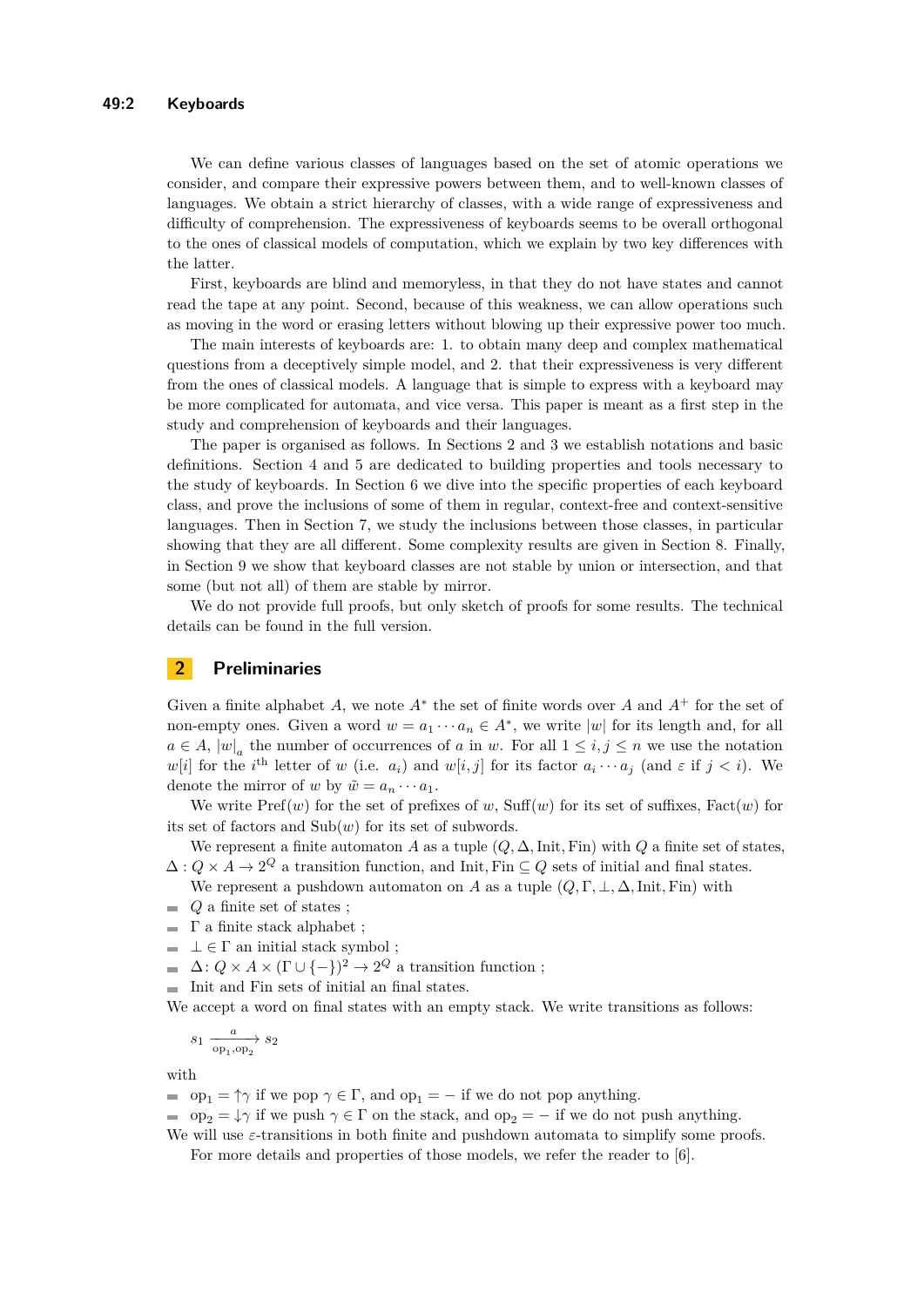We can define various classes of languages based on the set of atomic operations we consider, and compare their expressive powers between them, and to well-known classes of languages. We obtain a strict hierarchy of classes, with a wide range of expressiveness and difficulty of comprehension. The expressiveness of keyboards seems to be overall orthogonal to the ones of classical models of computation, which we explain by two key differences with the latter.

First, keyboards are blind and memoryless, in that they do not have states and cannot read the tape at any point. Second, because of this weakness, we can allow operations such as moving in the word or erasing letters without blowing up their expressive power too much.

The main interests of keyboards are: 1. to obtain many deep and complex mathematical questions from a deceptively simple model, and 2. that their expressiveness is very different from the ones of classical models. A language that is simple to express with a keyboard may be more complicated for automata, and vice versa. This paper is meant as a first step in the study and comprehension of keyboards and their languages.

The paper is organised as follows. In Sections 2 and 3 we establish notations and basic definitions. Section 4 and 5 are dedicated to building properties and tools necessary to the study of keyboards. In Section 6 we dive into the specific properties of each keyboard class, and prove the inclusions of some of them in regular, context-free and context-sensitive languages. Then in Section 7, we study the inclusions between those classes, in particular showing that they are all different. Some complexity results are given in Section 8. Finally, in Section 9 we show that keyboard classes are not stable by union or intersection, and that some (but not all) of them are stable by mirror.

We do not provide full proofs, but only sketch of proofs for some results. The technical details can be found in the full version.

# **2 Preliminaries**

Given a finite alphabet *A*, we note *A*<sup>∗</sup> the set of finite words over *A* and *A*<sup>+</sup> for the set of non-empty ones. Given a word  $w = a_1 \cdots a_n \in A^*$ , we write  $|w|$  for its length and, for all  $a \in A$ ,  $|w|_a$  the number of occurrences of *a* in *w*. For all  $1 \le i, j \le n$  we use the notation *w*[*i*] for the *i*<sup>th</sup> letter of *w* (i.e. *a<sub>i</sub>*) and *w*[*i, j*] for its factor  $a_i \cdots a_j$  (and  $\varepsilon$  if  $j < i$ ). We denote the mirror of *w* by  $\tilde{w} = a_n \cdots a_1$ .

We write  $\text{Pref}(w)$  for the set of prefixes of  $w$ ,  $\text{Suff}(w)$  for its set of suffixes,  $\text{Fact}(w)$  for its set of factors and  $\text{Sub}(w)$  for its set of subwords.

We represent a finite automaton *A* as a tuple  $(Q, \Delta, \text{Init}, \text{Fin})$  with  $Q$  a finite set of states,  $\Delta: Q \times A \to 2^Q$  a transition function, and Init, Fin  $\subseteq Q$  sets of initial and final states.

We represent a pushdown automaton on *A* as a tuple  $(Q, \Gamma, \bot, \Delta, \text{Init}, \text{Fin})$  with

- *Q* a finite set of states ;  $\mathcal{L}_{\mathcal{A}}$
- $\blacksquare$  Γ a finite stack alphabet ;
- $\blacksquare$   $\bot \in \Gamma$  an initial stack symbol ;
- $\Delta: Q \times A \times (\Gamma \cup \{-\})^2 \to 2^Q$  a transition function;
- Init and Fin sets of initial an final states.

We accept a word on final states with an empty stack. We write transitions as follows:

$$
s_1 \xrightarrow[\text{op}_1, \text{op}_2]{a} s_2
$$

with

- op<sub>1</sub> =  $\uparrow \gamma$  if we pop  $\gamma \in \Gamma$ , and op<sub>1</sub> = − if we do not pop anything.
- op<sub>2</sub> =  $\downarrow \gamma$  if we push  $\gamma \in \Gamma$  on the stack, and op<sub>2</sub> = − if we do not push anything. We will use  $\varepsilon$ -transitions in both finite and pushdown automata to simplify some proofs.

For more details and properties of those models, we refer the reader to [\[6\]](#page-15-3).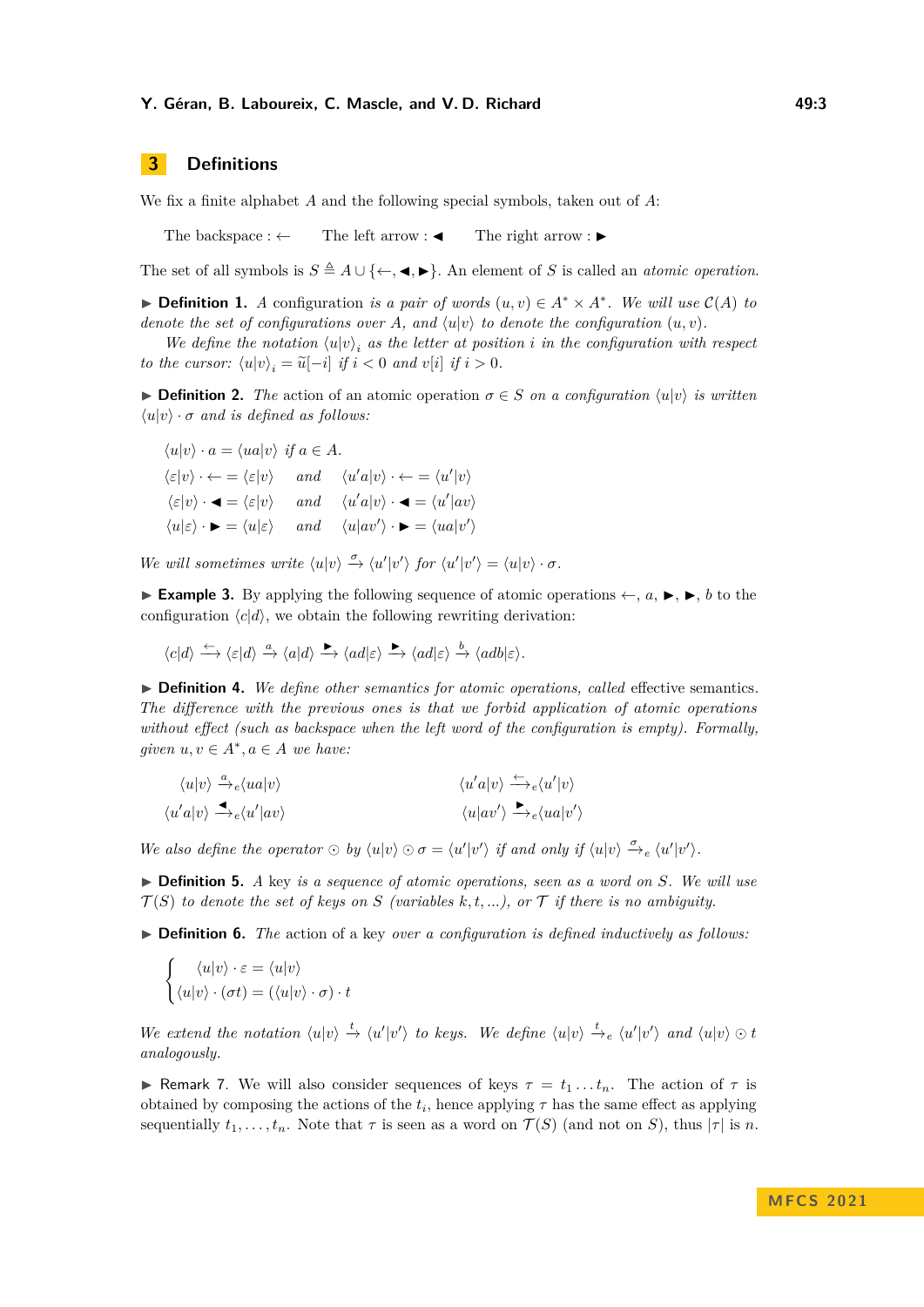#### **Y. Géran, B. Laboureix, C. Mascle, and V. D. Richard 49:3 49:3**

# **3 Definitions**

We fix a finite alphabet *A* and the following special symbols, taken out of *A*:

The backspace :  $\leftarrow$  The left arrow :  $\blacktriangle$  The right arrow :  $\blacktriangleright$ 

The set of all symbols is  $S \triangleq A \cup \{\leftarrow, \blacktriangleleft, \blacktriangleright\}$ . An element of *S* is called an *atomic operation*.

▶ **Definition 1.** *A* configuration *is a pair of words*  $(u, v) \in A^* \times A^*$ . We will use  $C(A)$  to *denote the set of configurations over A, and*  $\langle u | v \rangle$  *to denote the configuration*  $(u, v)$ *.* 

*We define the notation*  $\langle u | v \rangle_i$  *as the letter at position i in the configuration with respect to the cursor:*  $\langle u | v \rangle_i = \tilde{u}[-i]$  *if*  $i < 0$  *and*  $v[i]$  *if*  $i > 0$ *.* 

**► Definition 2.** The action of an atomic operation  $\sigma \in S$  *on a configuration*  $\langle u|v \rangle$  *is written*  $\langle u|v \rangle \cdot \sigma$  *and is defined as follows:* 

 $\langle u|v \rangle \cdot a = \langle ua|v \rangle$  *if*  $a \in A$ .  $\langle \varepsilon | v \rangle \cdot \leftarrow = \langle \varepsilon | v \rangle$  *and*  $\langle u' a | v \rangle \cdot \leftarrow = \langle u' | v \rangle$  $\langle \varepsilon | v \rangle \cdot \blacktriangleleft = \langle \varepsilon | v \rangle$  *and*  $\langle u' a | v \rangle \cdot \blacktriangleleft = \langle u' | a v \rangle$  $\langle u|\varepsilon\rangle \cdot \blacktriangleright = \langle u|\varepsilon\rangle$  *and*  $\langle u|av'\rangle \cdot \blacktriangleright = \langle ua|v'\rangle$ 

*We will sometimes write*  $\langle u | v \rangle \stackrel{\sigma}{\rightarrow} \langle u' | v' \rangle$  *for*  $\langle u' | v' \rangle = \langle u | v \rangle \cdot \sigma$ .

▶ **Example 3.** By applying the following sequence of atomic operations ←, *a*, ▶, ▶, *b* to the configuration  $\langle c|d\rangle$ , we obtain the following rewriting derivation:

$$
\langle c|d\rangle\xrightarrow{\leftarrow}\langle\varepsilon|d\rangle\xrightarrow{a}\langle a|d\rangle\xrightarrow{\blacktriangleright}\langle ad|\varepsilon\rangle\xrightarrow{\blacktriangleright}\langle ad|\varepsilon\rangle\xrightarrow{b}\langle adb|\varepsilon\rangle.
$$

▶ **Definition 4.** *We define other semantics for atomic operations, called* effective semantics*. The difference with the previous ones is that we forbid application of atomic operations without effect (such as backspace when the left word of the configuration is empty). Formally, given*  $u, v \in A^*, a \in A$  *we have:* 

$$
\langle u|v \rangle \xrightarrow{\alpha} e \langle ua|v \rangle
$$
  

$$
\langle u'a|v \rangle \xrightarrow{\leftarrow} e \langle u'|av \rangle
$$
  

$$
\langle u'a|v \rangle \xrightarrow{\leftarrow} e \langle u'|av \rangle
$$
  

$$
\langle u|av' \rangle \xrightarrow{\leftarrow} e \langle ua|v' \rangle
$$

*We also define the operator*  $\odot$  *by*  $\langle u | v \rangle \odot \sigma = \langle u' | v' \rangle$  *if and only if*  $\langle u | v \rangle \stackrel{\sigma}{\rightarrow} e \langle u' | v' \rangle$ *.* 

▶ **Definition 5.** *A* key *is a sequence of atomic operations, seen as a word on S. We will use*  $\mathcal{T}(S)$  *to denote the set of keys on S* (variables k, t, ...), or  $\mathcal{T}$  if there is no ambiguity.

▶ **Definition 6.** *The* action of a key *over a configuration is defined inductively as follows:* 

$$
\begin{cases} \langle u|v \rangle \cdot \varepsilon = \langle u|v \rangle \\ \langle u|v \rangle \cdot (\sigma t) = (\langle u|v \rangle \cdot \sigma) \cdot t \end{cases}
$$

We extend the notation  $\langle u | v \rangle \stackrel{t}{\rightarrow} \langle u' | v' \rangle$  to keys. We define  $\langle u | v \rangle \stackrel{t}{\rightarrow} e \langle u' | v' \rangle$  and  $\langle u | v \rangle \odot t$ *analogously.*

**Example 7.** We will also consider sequences of keys  $\tau = t_1 \dots t_n$ . The action of  $\tau$  is obtained by composing the actions of the  $t_i$ , hence applying  $\tau$  has the same effect as applying sequentially  $t_1, \ldots, t_n$ . Note that  $\tau$  is seen as a word on  $\mathcal{T}(S)$  (and not on *S*), thus  $|\tau|$  is *n*.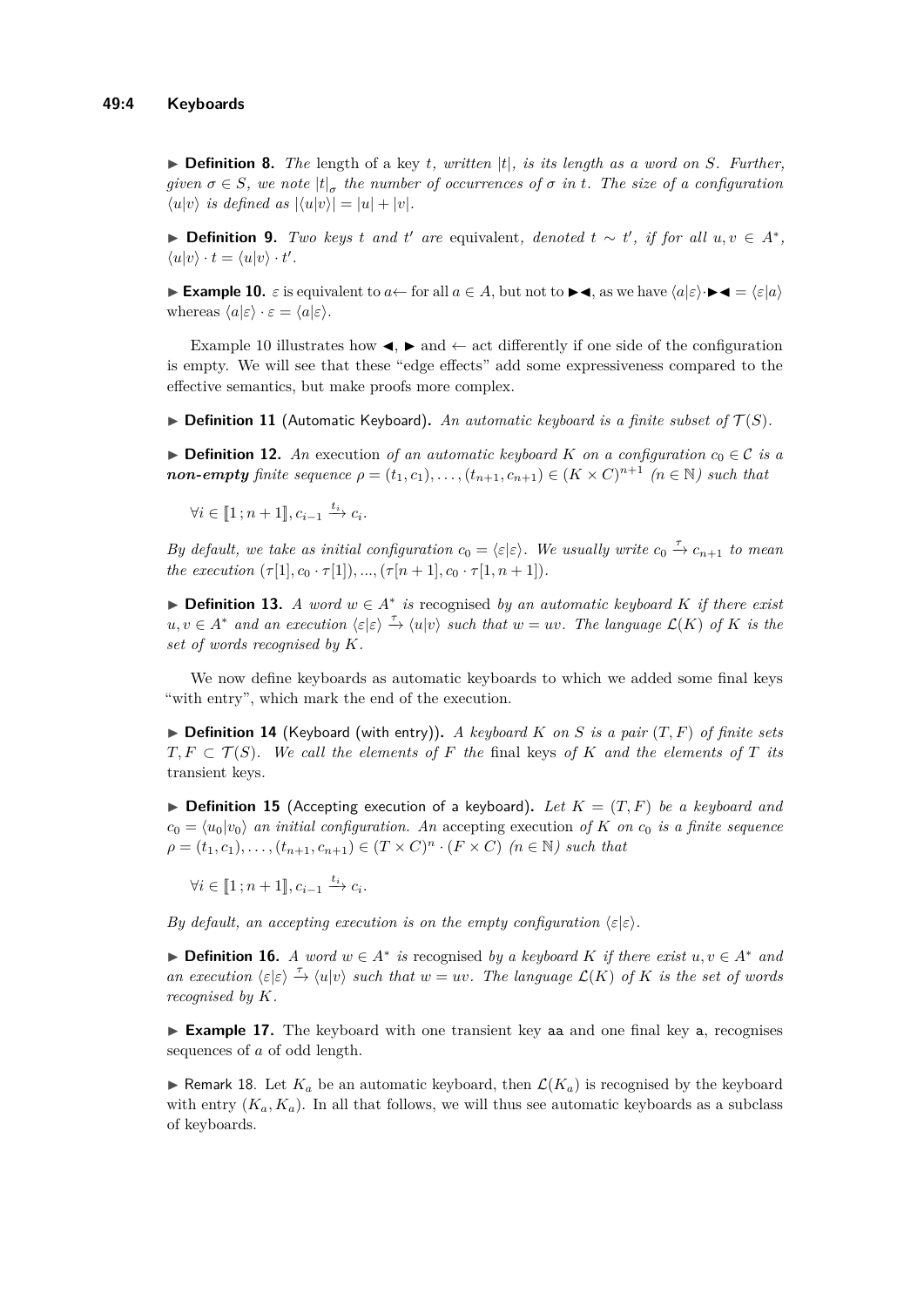$\triangleright$  **Definition 8.** The length of a key *t, written* |*t*|*, is its length as a word on S. Further, given*  $\sigma \in S$ , we note  $|t|_{\sigma}$  the number of occurrences of  $\sigma$  in t. The size of a configuration  $\langle u|v \rangle$  *is defined as*  $|\langle u|v \rangle| = |u| + |v|$ *.* 

▶ **Definition 9.** *Two keys t and t' are* equivalent, *denoted*  $t \sim t'$ , *if for all*  $u, v \in A^*$ ,  $\langle u|v \rangle \cdot t = \langle u|v \rangle \cdot t'.$ 

<span id="page-3-0"></span>**Example 10.**  $\varepsilon$  is equivalent to  $a \leftarrow$  for all  $a \in A$ , but not to  $\blacktriangleright \blacktriangleleft$ , as we have  $\langle a | \varepsilon \rangle \cdot \blacktriangleright \blacktriangleleft = \langle \varepsilon | a \rangle$ whereas  $\langle a | \varepsilon \rangle \cdot \varepsilon = \langle a | \varepsilon \rangle$ .

Example [10](#page-3-0) illustrates how  $\blacktriangleleft$ ,  $\blacktriangleright$  and  $\leftarrow$  act differently if one side of the configuration is empty. We will see that these "edge effects" add some expressiveness compared to the effective semantics, but make proofs more complex.

 $\triangleright$  **Definition 11** (Automatic Keyboard). An automatic keyboard is a finite subset of  $\mathcal{T}(S)$ .

▶ **Definition 12.** *An* execution of an automatic keyboard *K* on a configuration  $c_0 \in \mathcal{C}$  is a *non-empty finite sequence*  $\rho = (t_1, c_1), \ldots, (t_{n+1}, c_{n+1}) \in (K \times C)^{n+1}$   $(n \in \mathbb{N})$  *such that* 

 $\forall i \in [\![1; n+1]\!], c_{i-1} \xrightarrow{t_i} c_i.$ 

*By default, we take as initial configuration*  $c_0 = \langle \varepsilon | \varepsilon \rangle$ . We usually write  $c_0 \stackrel{\tau}{\to} c_{n+1}$  to mean *the execution*  $(\tau[1], c_0 \cdot \tau[1]), ..., (\tau[n+1], c_0 \cdot \tau[1, n+1]).$ 

▶ **Definition 13.** *A word*  $w \in A^*$  *is* recognised *by an automatic keyboard*  $K$  *if there exist*  $u, v \in A^*$  *and an execution*  $\langle \varepsilon | \varepsilon \rangle \stackrel{\tau}{\to} \langle u | v \rangle$  *such that*  $w = uv$ *. The language*  $\mathcal{L}(K)$  *of*  $K$  *is the set of words recognised by K.*

We now define keyboards as automatic keyboards to which we added some final keys "with entry", which mark the end of the execution.

 $\blacktriangleright$  **Definition 14** (Keyboard (with entry)). A keyboard K on S is a pair  $(T, F)$  of finite sets  $T, F \subset T(S)$ *. We call the elements of F the* final keys of *K* and the elements of *T* its transient keys*.*

 $\triangleright$  **Definition 15** (Accepting execution of a keyboard). Let  $K = (T, F)$  be a keyboard and  $c_0 = \langle u_0 | v_0 \rangle$  *an initial configuration. An* accepting execution *of K on*  $c_0$  *is a finite sequence*  $\rho = (t_1, c_1), \ldots, (t_{n+1}, c_{n+1}) \in (T \times C)^n \cdot (F \times C) \quad (n \in \mathbb{N})$  such that

 $\forall i \in [\![1; n+1]\!], c_{i-1} \xrightarrow{t_i} c_i.$ 

*By default, an accepting execution is on the empty configuration*  $\langle \varepsilon | \varepsilon \rangle$ *.* 

▶ **Definition 16.** *A word*  $w \in A^*$  *is* recognised *by a keyboard K if there exist*  $u, v \in A^*$  *and an execution*  $\langle \varepsilon | \varepsilon \rangle \stackrel{\tau}{\to} \langle u | v \rangle$  *such that*  $w = uv$ *. The language*  $\mathcal{L}(K)$  *of K is the set of words recognised by K.*

▶ **Example 17.** The keyboard with one transient key as and one final key a, recognises sequences of *a* of odd length.

 $\triangleright$  Remark 18. Let  $K_a$  be an automatic keyboard, then  $\mathcal{L}(K_a)$  is recognised by the keyboard with entry  $(K_a, K_a)$ . In all that follows, we will thus see automatic keyboards as a subclass of keyboards.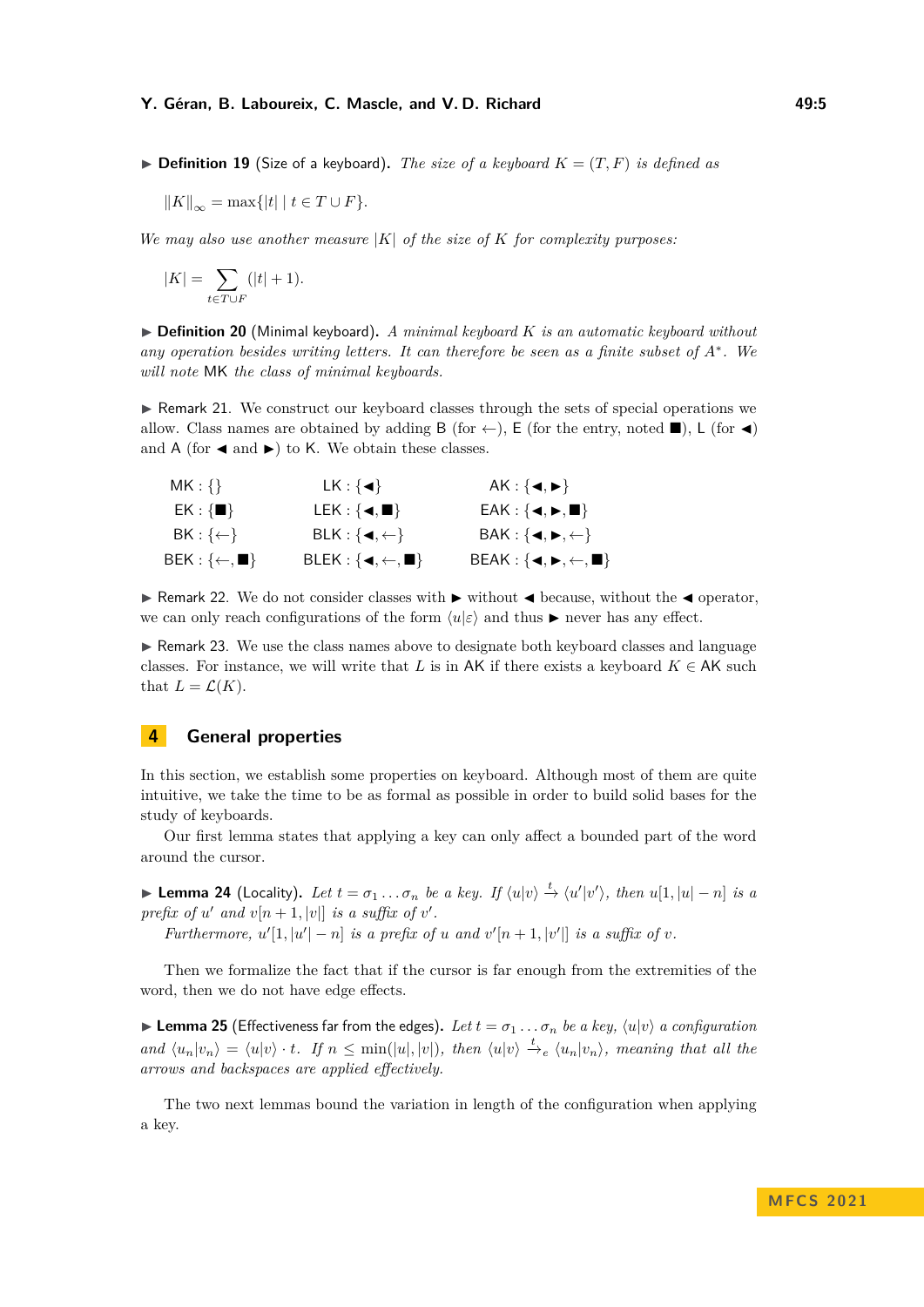#### **Y. Géran, B. Laboureix, C. Mascle, and V. D. Richard 49:5 49:5**

 $\triangleright$  **Definition 19** (Size of a keyboard). The size of a keyboard  $K = (T, F)$  is defined as

$$
||K||_{\infty} = \max\{|t| \mid t \in T \cup F\}.
$$

*We may also use another measure*  $|K|$  *of the size of*  $K$  *for complexity purposes:* 

$$
|K| = \sum_{t \in T \cup F} (|t| + 1).
$$

▶ **Definition 20** (Minimal keyboard)**.** *A minimal keyboard K is an automatic keyboard without any operation besides writing letters. It can therefore be seen as a finite subset of A*<sup>∗</sup> *. We will note* MK *the class of minimal keyboards.*

▶ Remark 21. We construct our keyboard classes through the sets of special operations we allow. Class names are obtained by adding B (for  $\leftarrow$ ), E (for the entry, noted  $\blacksquare$ ), L (for  $\blacktriangleleft$ ) and A (for  $\blacktriangleleft$  and  $\blacktriangleright$ ) to K. We obtain these classes.

| $MK: \{\}$                                 | $LK: \{\blacktriangleleft\}$                              | AK : { $\blacktriangleleft, \blacktriangleright$ }                              |
|--------------------------------------------|-----------------------------------------------------------|---------------------------------------------------------------------------------|
| $EK: \{\blacksquare\}$                     | $LEK: \{\blacktriangleleft, \blacksquare\}$               | $EAK: \{ \blacktriangleleft, \blacktriangleright, \blacksquare \}$              |
| $BK: \{\leftarrow\}$                       | $BLK: \{ \blacktriangleleft, \leftarrow \}$               | $BAK: \{ \blacktriangleleft, \blacktriangleright, \leftarrow \}$                |
| $\mathsf{BEK}:\{\leftarrow,\blacksquare\}$ | BLEK : { $\blacktriangleleft, \leftarrow, \blacksquare$ } | $BEAK: \{ \blacktriangleleft, \blacktriangleright, \leftarrow, \blacksquare \}$ |

▶ Remark 22. We do not consider classes with ▶ without ◀ because, without the ◀ operator, we can only reach configurations of the form  $\langle u|\varepsilon\rangle$  and thus  $\blacktriangleright$  never has any effect.

▶ Remark 23. We use the class names above to designate both keyboard classes and language classes. For instance, we will write that *L* is in AK if there exists a keyboard  $K \in AK$  such that  $L = \mathcal{L}(K)$ .

### **4 General properties**

In this section, we establish some properties on keyboard. Although most of them are quite intuitive, we take the time to be as formal as possible in order to build solid bases for the study of keyboards.

Our first lemma states that applying a key can only affect a bounded part of the word around the cursor.

<span id="page-4-1"></span>**Lemma 24** (Locality). Let  $t = \sigma_1 \ldots \sigma_n$  be a key. If  $\langle u | v \rangle \stackrel{t}{\rightarrow} \langle u' | v' \rangle$ , then  $u[1, |u| - n]$  is a prefix of *u*' and  $v[n+1, |v|]$  is a suffix of *v*'.

*Furthermore,*  $u'[1, |u'| - n]$  *is a prefix of u and*  $v'[n+1, |v'|]$  *is a suffix of v*.

Then we formalize the fact that if the cursor is far enough from the extremities of the word, then we do not have edge effects.

 $\blacktriangleright$  **Lemma 25** (Effectiveness far from the edges). Let  $t = \sigma_1 \dots \sigma_n$  be a key,  $\langle u | v \rangle$  a configuration and  $\langle u_n | v_n \rangle = \langle u | v \rangle \cdot t$ . If  $n \leq \min(|u|, |v|)$ , then  $\langle u | v \rangle \stackrel{t}{\rightarrow}_e \langle u_n | v_n \rangle$ , meaning that all the *arrows and backspaces are applied effectively.*

<span id="page-4-0"></span>The two next lemmas bound the variation in length of the configuration when applying a key.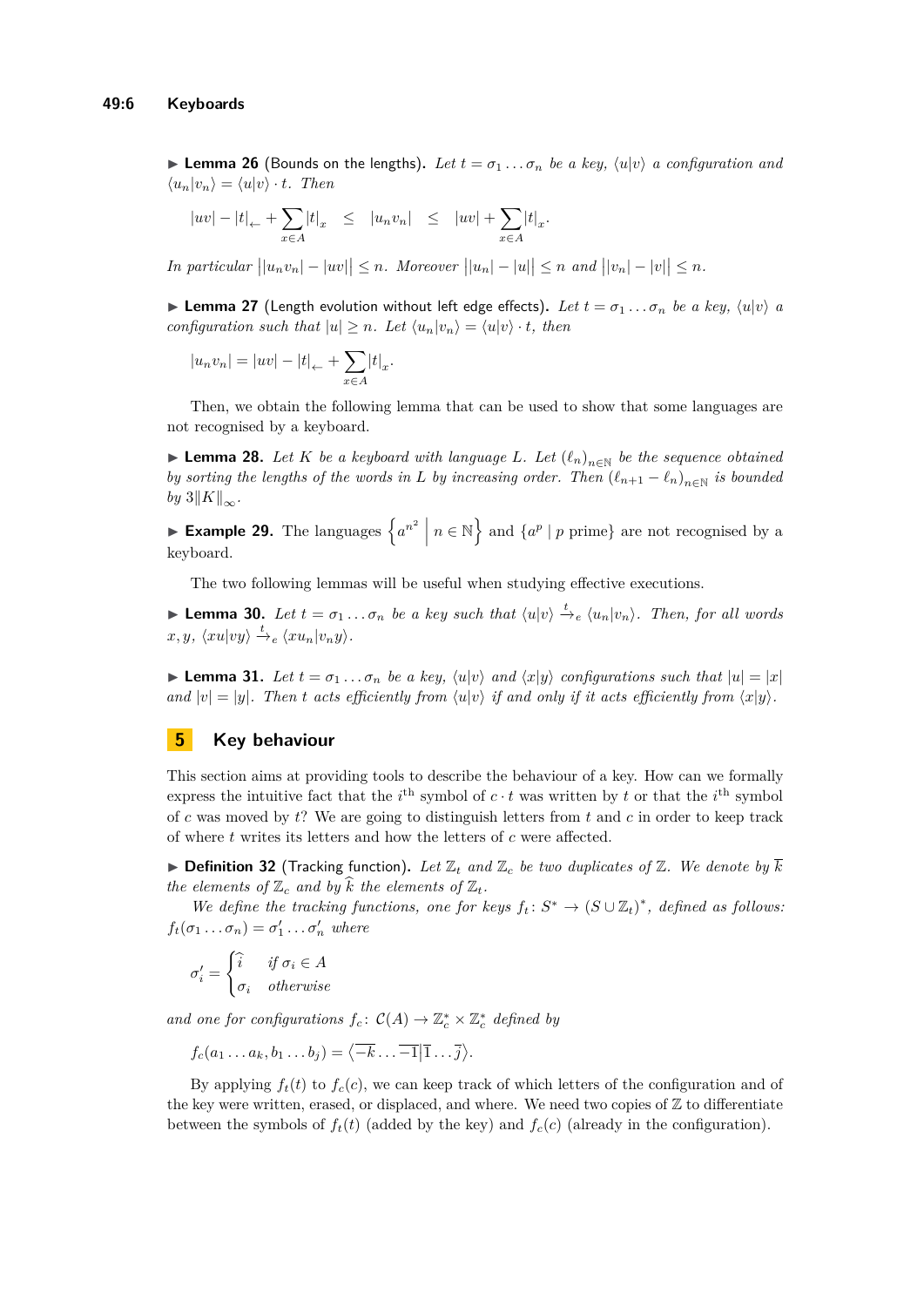**Example 26** (Bounds on the lengths). Let  $t = \sigma_1 \dots \sigma_n$  be a key,  $\langle u | v \rangle$  a configuration and  $\langle u_n | v_n \rangle = \langle u | v \rangle \cdot t$ . Then

$$
|uv| - |t|_{\leftarrow} + \sum_{x \in A} |t|_{x} \le |u_n v_n| \le |uv| + \sum_{x \in A} |t|_{x}.
$$

In particular  $||u_nv_n| - |uv|| \leq n$ . Moreover  $||u_n| - |u|| \leq n$  and  $||v_n| - |v|| \leq n$ .

 $\blacktriangleright$  **Lemma 27** (Length evolution without left edge effects). Let  $t = \sigma_1 \dots \sigma_n$  be a key,  $\langle u | v \rangle$  a *configuration such that*  $|u| \geq n$ *. Let*  $\langle u_n | v_n \rangle = \langle u | v \rangle \cdot t$ *, then* 

$$
|u_n v_n| = |uv| - |t|_{\leftarrow} + \sum_{x \in A} |t|_x.
$$

Then, we obtain the following lemma that can be used to show that some languages are not recognised by a keyboard.

▶ **Lemma 28.** Let *K* be a keyboard with language L. Let  $(\ell_n)_{n \in \mathbb{N}}$  be the sequence obtained *by sorting the lengths of the words in L by increasing order.* Then  $(\ell_{n+1} - \ell_n)_{n \in \mathbb{N}}$  *is bounded by* 3∥*K*∥∞*.*

► **Example 29.** The languages  $\left\{ a^{n^2} \mid n \in \mathbb{N} \right\}$  and  $\left\{ a^p \mid p \text{ prime} \right\}$  are not recognised by a keyboard.

The two following lemmas will be useful when studying effective executions.

▶ **Lemma 30.** Let  $t = \sigma_1 \ldots \sigma_n$  be a key such that  $\langle u | v \rangle \stackrel{t}{\rightarrow}{}_{e} \langle u_n | v_n \rangle$ . Then, for all words  $x, y, \langle xu|vy \rangle \stackrel{t}{\rightarrow} e \langle xu_n|v_ny \rangle.$ 

 $\blacktriangleright$  **Lemma 31.** Let  $t = \sigma_1 \dots \sigma_n$  be a key,  $\langle u | v \rangle$  and  $\langle x | y \rangle$  configurations such that  $|u| = |x|$ *and*  $|v| = |y|$ *. Then t acts efficiently from*  $\langle u|v \rangle$  *if and only if it acts efficiently from*  $\langle x|y \rangle$ *.* 

# **5 Key behaviour**

This section aims at providing tools to describe the behaviour of a key. How can we formally express the intuitive fact that the  $i^{\text{th}}$  symbol of  $c \cdot t$  was written by  $t$  or that the  $i^{\text{th}}$  symbol of *c* was moved by *t*? We are going to distinguish letters from *t* and *c* in order to keep track of where *t* writes its letters and how the letters of *c* were affected.

 $\blacktriangleright$  **Definition 32** (Tracking function). Let  $\mathbb{Z}_t$  and  $\mathbb{Z}_c$  be two duplicates of  $\mathbb{Z}$ . We denote by  $\overline{k}$ *the elements of*  $\mathbb{Z}_c$  *and by k the elements of*  $\mathbb{Z}_t$ *.* 

*We define the tracking functions, one for keys*  $f_t: S^* \to (S \cup \mathbb{Z}_t)^*$ , defined as follows:  $f_t(\sigma_1 \dots \sigma_n) = \sigma'_1 \dots \sigma'_n$  *where* 

$$
\sigma_i' = \begin{cases} \hat{i} & \text{if } \sigma_i \in A \\ \sigma_i & \text{otherwise} \end{cases}
$$

*and one for configurations*  $f_c: C(A) \to \mathbb{Z}_c^* \times \mathbb{Z}_c^*$  *defined by* 

 $f_c(a_1 \ldots a_k, b_1 \ldots b_j) = \langle \overline{-k} \ldots \overline{-1} | \overline{1} \ldots \overline{j} \rangle.$ 

By applying  $f_t(t)$  to  $f_c(c)$ , we can keep track of which letters of the configuration and of the key were written, erased, or displaced, and where. We need two copies of  $\mathbb Z$  to differentiate between the symbols of  $f_t(t)$  (added by the key) and  $f_c(c)$  (already in the configuration).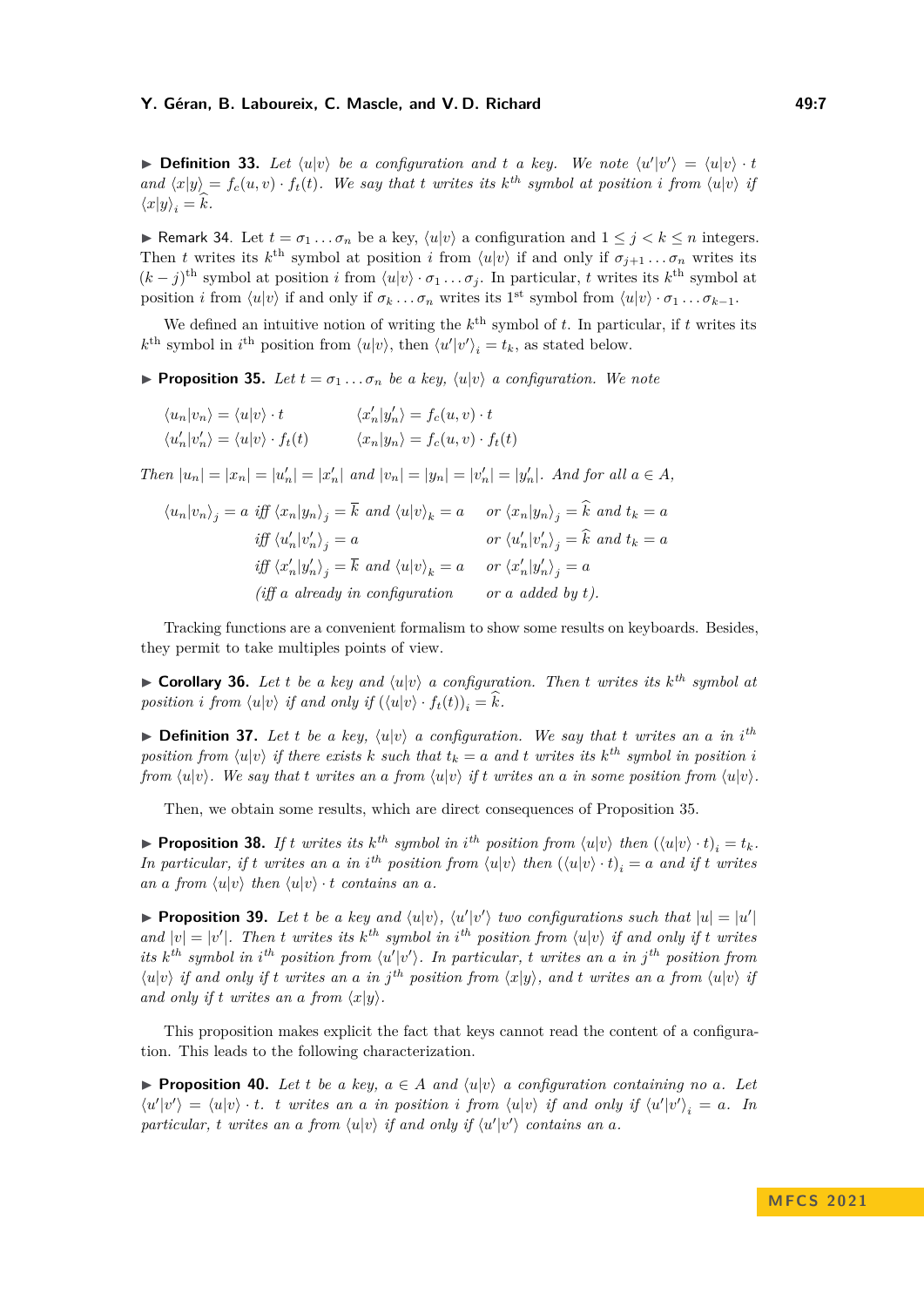**• Definition 33.** Let  $\langle u | v \rangle$  be a configuration and t a key. We note  $\langle u' | v' \rangle = \langle u | v \rangle \cdot t$ and  $\langle x|y\rangle = f_c(u,v) \cdot f_t(t)$ . We say that t writes its k<sup>th</sup> symbol at position i from  $\langle u|v\rangle$  is  $\langle x|y\rangle_i = k.$ 

<span id="page-6-2"></span>**► Remark 34.** Let  $t = \sigma_1 \dots \sigma_n$  be a key,  $\langle u | v \rangle$  a configuration and  $1 \leq j < k \leq n$  integers. Then *t* writes its  $k^{\text{th}}$  symbol at position *i* from  $\langle u | v \rangle$  if and only if  $\sigma_{j+1} \ldots \sigma_n$  writes its  $(k - j)$ <sup>th</sup> symbol at position *i* from  $\langle u | v \rangle \cdot \sigma_1 \dots \sigma_j$ . In particular, *t* writes its *k*<sup>th</sup> symbol at position *i* from  $\langle u | v \rangle$  if and only if  $\sigma_k \dots \sigma_n$  writes its 1<sup>st</sup> symbol from  $\langle u | v \rangle \cdot \sigma_1 \dots \sigma_{k-1}$ .

We defined an intuitive notion of writing the  $k^{\text{th}}$  symbol of  $t$ . In particular, if  $t$  writes its  $k^{\text{th}}$  symbol in  $i^{\text{th}}$  position from  $\langle u | v \rangle$ , then  $\langle u' | v' \rangle_i = t_k$ , as stated below.

<span id="page-6-0"></span>**• Proposition 35.** Let  $t = \sigma_1 \ldots \sigma_n$  be a key,  $\langle u | v \rangle$  a configuration. We note

$$
\langle u_n | v_n \rangle = \langle u | v \rangle \cdot t \qquad \langle x'_n | y'_n \rangle = f_c(u, v) \cdot t
$$
  

$$
\langle u'_n | v'_n \rangle = \langle u | v \rangle \cdot f_t(t) \qquad \langle x_n | y_n \rangle = f_c(u, v) \cdot f_t(t)
$$

Then  $|u_n| = |x_n| = |u'_n| = |x'_n|$  and  $|v_n| = |y_n| = |v'_n| = |y'_n|$ . And for all  $a \in A$ ,

$$
\langle u_n | v_n \rangle_j = a \quad \text{iff} \quad \langle x_n | y_n \rangle_j = \overline{k} \quad \text{and} \quad \langle u | v \rangle_k = a \qquad \text{or} \quad \langle x_n | y_n \rangle_j = \hat{k} \quad \text{and} \quad t_k = a
$$
\n
$$
\text{iff} \quad \langle u'_n | v'_n \rangle_j = a \qquad \text{or} \quad \langle u'_n | v'_n \rangle_j = \hat{k} \quad \text{and} \quad t_k = a
$$
\n
$$
\text{iff} \quad \langle x'_n | y'_n \rangle_j = \overline{k} \quad \text{and} \quad \langle u | v \rangle_k = a \qquad \text{or} \quad \langle x'_n | y'_n \rangle_j = a
$$
\n
$$
\text{iff} \quad a \quad \text{already in configuration} \qquad \text{or} \quad a \quad \text{added by } t \text{)}.
$$

Tracking functions are a convenient formalism to show some results on keyboards. Besides, they permit to take multiples points of view.

▶ **Corollary 36.** Let *t* be a key and  $\langle u | v \rangle$  a configuration. Then *t* writes its  $k^{th}$  symbol at *position i from*  $\langle u | v \rangle$  *if and only if*  $(\langle u | v \rangle \cdot f_t(t))_i = \hat{k}$ *.* 

 $\triangleright$  **Definition 37.** Let *t* be a key,  $\langle u | v \rangle$  a configuration. We say that *t* writes an a in *i*<sup>th</sup> *position from*  $\langle u | v \rangle$  *if there exists k such that*  $t_k = a$  *and t writes its*  $k^{th}$  *symbol in position i from*  $\langle u | v \rangle$ . We say that *t* writes an a from  $\langle u | v \rangle$  *if t* writes an a *in some position from*  $\langle u | v \rangle$ .

Then, we obtain some results, which are direct consequences of Proposition [35.](#page-6-0)

**• Proposition 38.** If t writes its  $k^{th}$  symbol in i<sup>th</sup> position from  $\langle u|v \rangle$  then  $(\langle u|v \rangle \cdot t)_i = t_k$ . In particular, if t writes an a in i<sup>th</sup> position from  $\langle u|v \rangle$  then  $(\langle u|v \rangle \cdot t)_i = a$  and if t writes *an a from*  $\langle u|v \rangle$  *then*  $\langle u|v \rangle \cdot t$  *contains an a*.

<span id="page-6-1"></span>**• Proposition 39.** Let *t* be a key and  $\langle u | v \rangle$ ,  $\langle u' | v' \rangle$  two configurations such that  $|u| = |u'|$ *and*  $|v| = |v'|$ . Then *t* writes its  $k^{th}$  symbol in  $i^{th}$  position from  $\langle u | v \rangle$  if and only if *t* writes *its*  $k^{th}$  *symbol in*  $i^{th}$  *position from*  $\langle u'|v' \rangle$ *. In particular, t writes an a in*  $j^{th}$  *position from*  $\langle u|v \rangle$  if and only if t writes an a in j<sup>th</sup> position from  $\langle x|y \rangle$ , and t writes an a from  $\langle u|v \rangle$  is *and only if t writes an a from*  $\langle x|y \rangle$ .

This proposition makes explicit the fact that keys cannot read the content of a configuration. This leads to the following characterization.

<span id="page-6-3"></span>▶ **Proposition 40.** Let *t* be a key,  $a \in A$  and  $\langle u | v \rangle$  a configuration containing no a. Let  $\langle u'|v'\rangle = \langle u|v\rangle \cdot t$ . t writes an a in position i from  $\langle u|v\rangle$  if and only if  $\langle u'|v'\rangle_i = a$ . In particular, *t* writes an a from  $\langle u | v \rangle$  if and only if  $\langle u' | v' \rangle$  contains an a.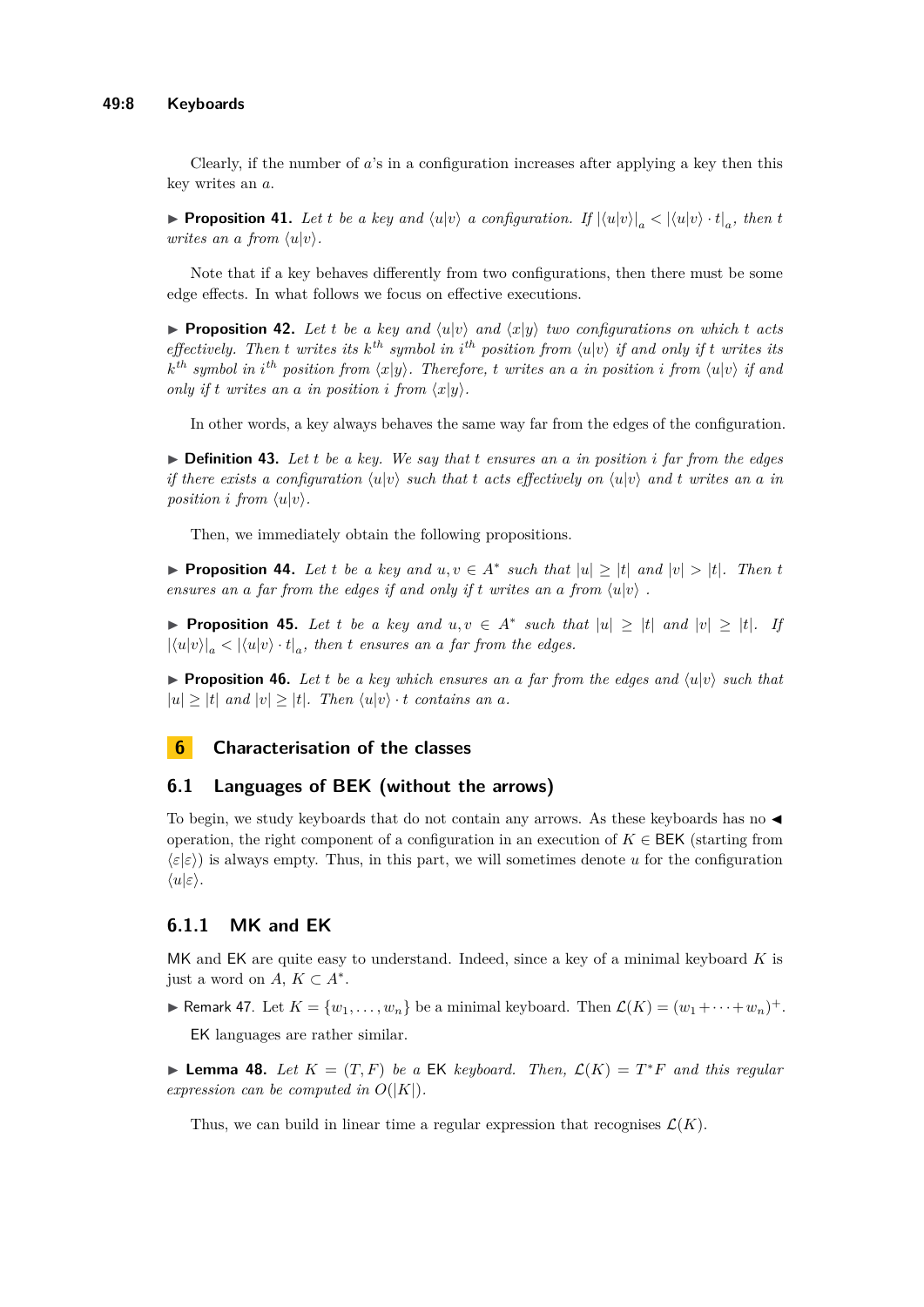Clearly, if the number of *a*'s in a configuration increases after applying a key then this key writes an *a*.

**• Proposition 41.** Let *t* be a key and  $\langle u|v \rangle$  a configuration. If  $|\langle u|v \rangle|_a < |\langle u|v \rangle \cdot t|_a$ , then *t writes an a from*  $\langle u|v \rangle$ *.* 

Note that if a key behaves differently from two configurations, then there must be some edge effects. In what follows we focus on effective executions.

<span id="page-7-0"></span>**• Proposition 42.** Let *t* be a key and  $\langle u | v \rangle$  and  $\langle x | y \rangle$  *two configurations on which t* acts *effectively. Then t writes its*  $k^{th}$  *symbol in*  $i^{th}$  *position from*  $\langle u | v \rangle$  *if* and only *if t writes its*  $k^{th}$  *symbol in*  $i^{th}$  *position from*  $\langle x|y \rangle$ *. Therefore, t writes an a in position i from*  $\langle u|v \rangle$  *if and only if*  $t$  *writes an*  $a$  *in position*  $i$  *from*  $\langle x|y \rangle$ *.* 

In other words, a key always behaves the same way far from the edges of the configuration.

 $\triangleright$  **Definition 43.** Let *t* be a key. We say that *t* ensures an a in position *i* far from the edges *if there exists a configuration*  $\langle u | v \rangle$  *such that t acts effectively on*  $\langle u | v \rangle$  *and t writes an a in position i from*  $\langle u|v \rangle$ *.* 

Then, we immediately obtain the following propositions.

▶ **Proposition 44.** Let *t* be a key and  $u, v \in A^*$  such that  $|u| \geq |t|$  and  $|v| > |t|$ *. Then t ensures an a far from the edges if and only if t writes an a from*  $\langle u | v \rangle$ .

**• Proposition 45.** Let *t* be a key and  $u, v \in A^*$  such that  $|u| \geq |t|$  and  $|v| \geq |t|$ . If  $|\langle u|v \rangle|_a < |\langle u|v \rangle \cdot t|_a$ , then *t* ensures an a far from the edges.

 $\triangleright$  **Proposition 46.** Let *t* be a key which ensures an a far from the edges and  $\langle u|v \rangle$  such that  $|u| > |t|$  *and*  $|v| > |t|$ *. Then*  $\langle u|v \rangle \cdot t$  *contains an a.* 

# **6 Characterisation of the classes**

### **6.1 Languages of BEK (without the arrows)**

To begin, we study keyboards that do not contain any arrows. As these keyboards has no ◀ operation, the right component of a configuration in an execution of  $K \in BEK$  (starting from  $\langle \varepsilon | \varepsilon \rangle$ ) is always empty. Thus, in this part, we will sometimes denote *u* for the configuration ⟨*u*|*ε*⟩.

# **6.1.1 MK and EK**

MK and EK are quite easy to understand. Indeed, since a key of a minimal keyboard *K* is just a word on  $A, K \subset A^*$ .

<span id="page-7-1"></span>▶ Remark 47. Let  $K = \{w_1, \ldots, w_n\}$  be a minimal keyboard. Then  $\mathcal{L}(K) = (w_1 + \cdots + w_n)^+$ . EK languages are rather similar.

<span id="page-7-2"></span>▶ **Lemma 48.** *Let*  $K = (T, F)$  *be a* EK *keyboard. Then,*  $\mathcal{L}(K) = T^*F$  *and this regular expression can be computed in*  $O(|K|)$ *.* 

Thus, we can build in linear time a regular expression that recognises  $\mathcal{L}(K)$ .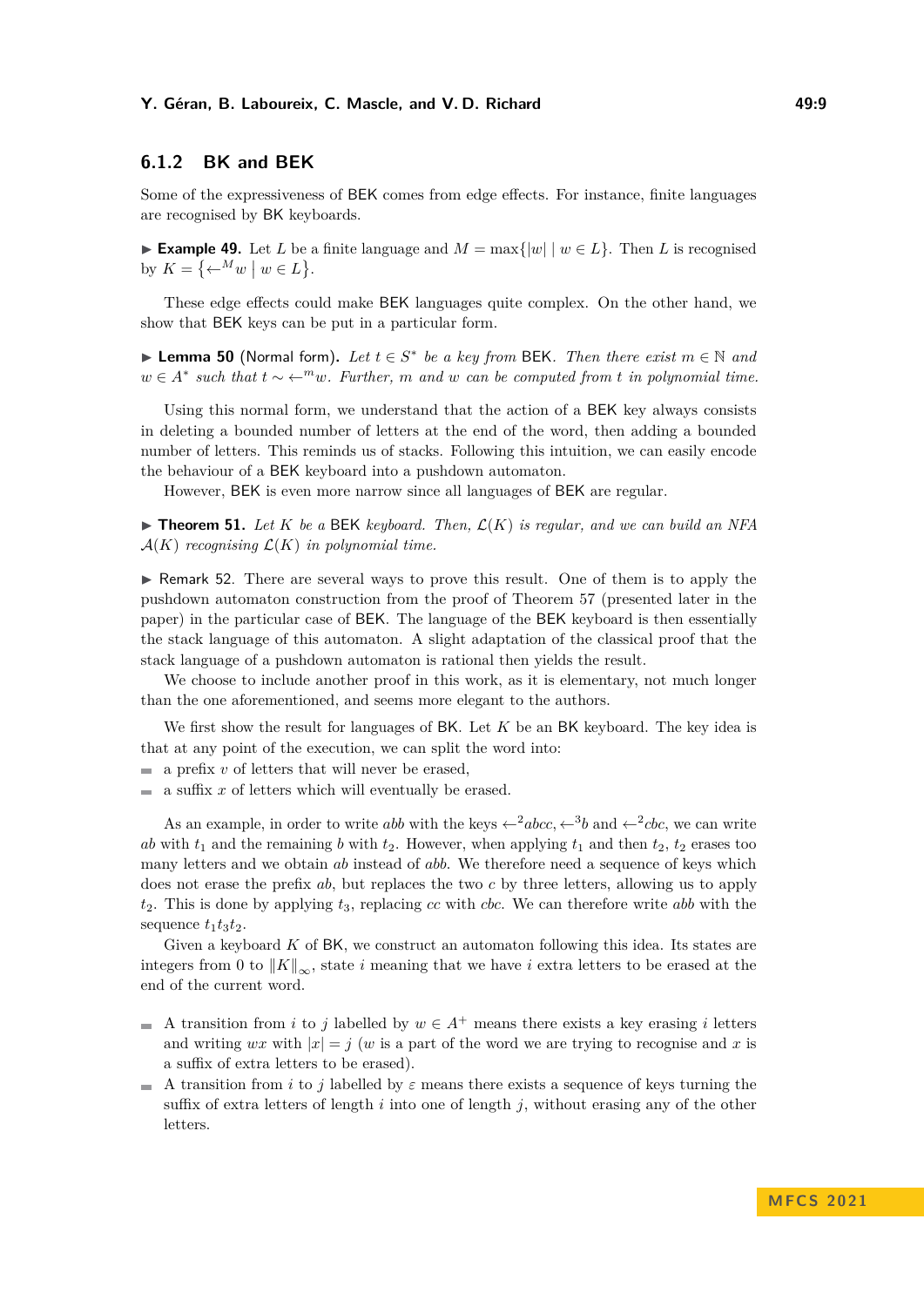# **6.1.2 BK and BEK**

Some of the expressiveness of BEK comes from edge effects. For instance, finite languages are recognised by BK keyboards.

▶ **Example 49.** Let *L* be a finite language and  $M = \max\{|w| \mid w \in L\}$ . Then *L* is recognised by  $K = \{ \leftarrow^M w \mid w \in L \}.$ 

These edge effects could make BEK languages quite complex. On the other hand, we show that BEK keys can be put in a particular form.

▶ **Lemma 50** (Normal form). Let  $t \in S^*$  be a key from BEK. Then there exist  $m \in \mathbb{N}$  and  $w \in A^*$  *such that*  $t \sim \leftarrow^m w$ *. Further, m and*  $w$  *can be computed from t in polynomial time.* 

Using this normal form, we understand that the action of a BEK key always consists in deleting a bounded number of letters at the end of the word, then adding a bounded number of letters. This reminds us of stacks. Following this intuition, we can easily encode the behaviour of a BEK keyboard into a pushdown automaton.

However, BEK is even more narrow since all languages of BEK are regular.

<span id="page-8-0"></span> $\blacktriangleright$  **Theorem 51.** Let K be a BEK keyboard. Then,  $\mathcal{L}(K)$  is regular, and we can build an NFA  $\mathcal{A}(K)$  *recognising*  $\mathcal{L}(K)$  *in polynomial time.* 

▶ Remark 52. There are several ways to prove this result. One of them is to apply the pushdown automaton construction from the proof of Theorem [57](#page-10-0) (presented later in the paper) in the particular case of BEK. The language of the BEK keyboard is then essentially the stack language of this automaton. A slight adaptation of the classical proof that the stack language of a pushdown automaton is rational then yields the result.

We choose to include another proof in this work, as it is elementary, not much longer than the one aforementioned, and seems more elegant to the authors.

We first show the result for languages of BK. Let *K* be an BK keyboard. The key idea is that at any point of the execution, we can split the word into:

- $\blacksquare$  a prefix *v* of letters that will never be erased,
- $\blacksquare$  a suffix *x* of letters which will eventually be erased.

As an example, in order to write *abb* with the keys  $\leftarrow$ <sup>2</sup>*abcc*,  $\leftarrow$ <sup>3</sup>*b* and  $\leftarrow$ <sup>2</sup>*cbc*, we can write *ab* with  $t_1$  and the remaining *b* with  $t_2$ . However, when applying  $t_1$  and then  $t_2$ ,  $t_2$  erases too many letters and we obtain *ab* instead of *abb*. We therefore need a sequence of keys which does not erase the prefix *ab*, but replaces the two *c* by three letters, allowing us to apply *t*2. This is done by applying *t*3, replacing *cc* with *cbc*. We can therefore write *abb* with the sequence  $t_1t_3t_2$ .

Given a keyboard *K* of BK, we construct an automaton following this idea. Its states are integers from 0 to  $||K||_{\infty}$ , state *i* meaning that we have *i* extra letters to be erased at the end of the current word.

- A transition from *i* to *j* labelled by  $w \in A^+$  means there exists a key erasing *i* letters and writing *wx* with  $|x| = j$  (*w* is a part of the word we are trying to recognise and *x* is a suffix of extra letters to be erased).
- A transition from *i* to *j* labelled by  $\varepsilon$  means there exists a sequence of keys turning the suffix of extra letters of length *i* into one of length *j*, without erasing any of the other letters.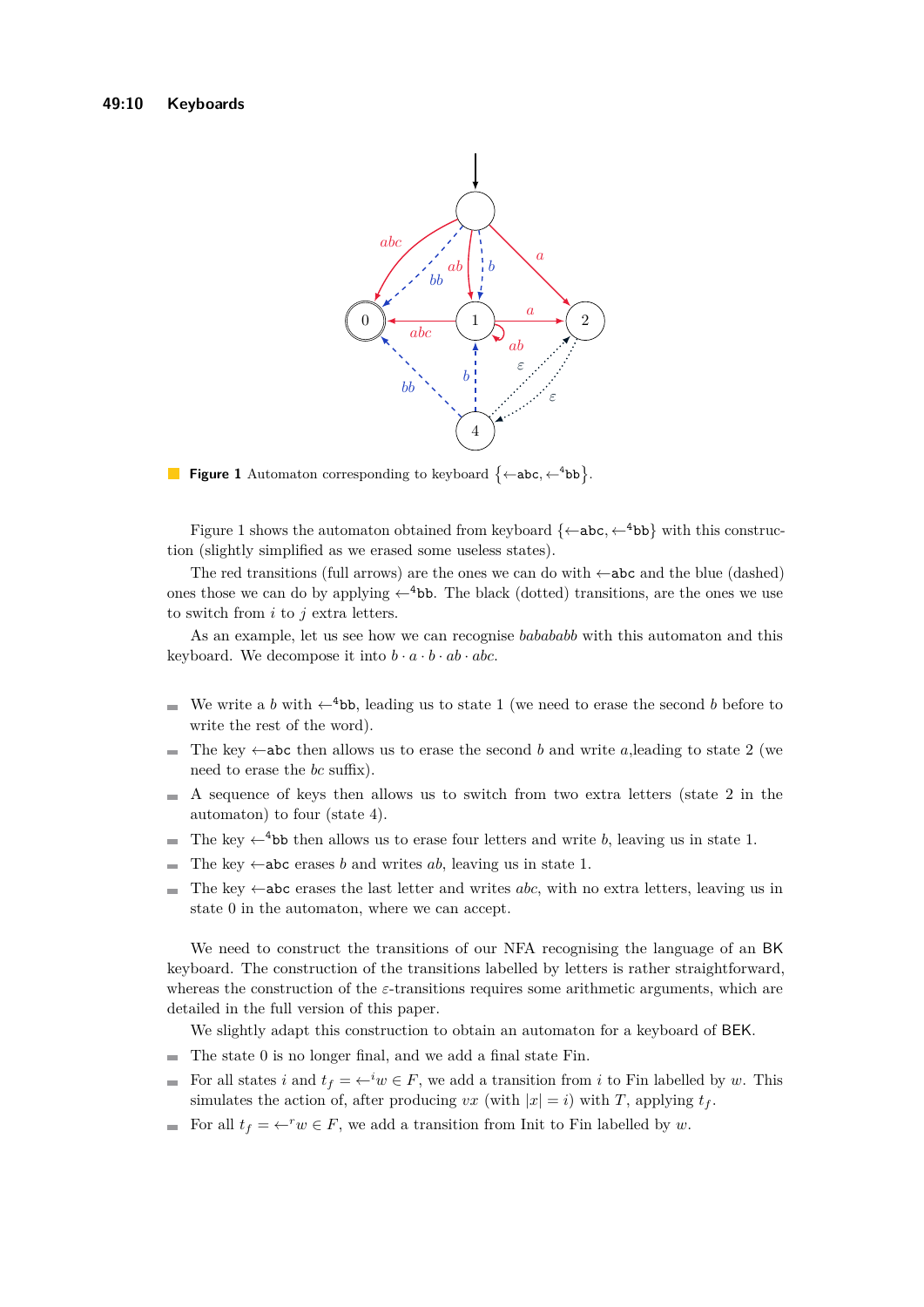<span id="page-9-0"></span>

**Figure 1** Automaton corresponding to keyboard  $\{\leftarrow abc, \leftarrow^4 bb\}.$ 

Figure [1](#page-9-0) shows the automaton obtained from keyboard  $\{\leftarrow abc, \leftarrow ^4 bb\}$  with this construction (slightly simplified as we erased some useless states).

The red transitions (full arrows) are the ones we can do with  $\leftarrow$ **abc** and the blue (dashed) ones those we can do by applying  $\leftarrow$ <sup>4</sup>bb. The black (dotted) transitions, are the ones we use to switch from *i* to *j* extra letters.

As an example, let us see how we can recognise *babababb* with this automaton and this keyboard. We decompose it into  $b \cdot a \cdot b \cdot ab \cdot abc$ .

- We write a *b* with  $\leftarrow$ <sup>4</sup>bb, leading us to state 1 (we need to erase the second *b* before to write the rest of the word).
- The key  $\leftarrow$ **abc** then allows us to erase the second *b* and write *a*, leading to state 2 (we  $\overline{\phantom{a}}$ need to erase the *bc* suffix).
- $\blacksquare$  A sequence of keys then allows us to switch from two extra letters (state 2 in the automaton) to four (state 4).
- The key  $\leftarrow$ <sup>4</sup>bb then allows us to erase four letters and write *b*, leaving us in state 1.  $\mathcal{L}_{\mathcal{A}}$
- The key  $\leftarrow$ **abc** erases *b* and writes *ab*, leaving us in state 1.  $\mathcal{L}_{\mathcal{A}}$
- The key ←abc erases the last letter and writes *abc*, with no extra letters, leaving us in  $\sim$ state 0 in the automaton, where we can accept.

We need to construct the transitions of our NFA recognising the language of an BK keyboard. The construction of the transitions labelled by letters is rather straightforward, whereas the construction of the *ε*-transitions requires some arithmetic arguments, which are detailed in the full version of this paper.

We slightly adapt this construction to obtain an automaton for a keyboard of BEK.

- $\blacksquare$  The state 0 is no longer final, and we add a final state Fin.
- For all states *i* and  $t_f = \leftarrow^{i} w \in F$ , we add a transition from *i* to Fin labelled by *w*. This  $\equiv$ simulates the action of, after producing *vx* (with  $|x| = i$ ) with *T*, applying  $t_f$ .
- For all  $t_f = \leftarrow^r w \in F$ , we add a transition from Init to Fin labelled by *w*.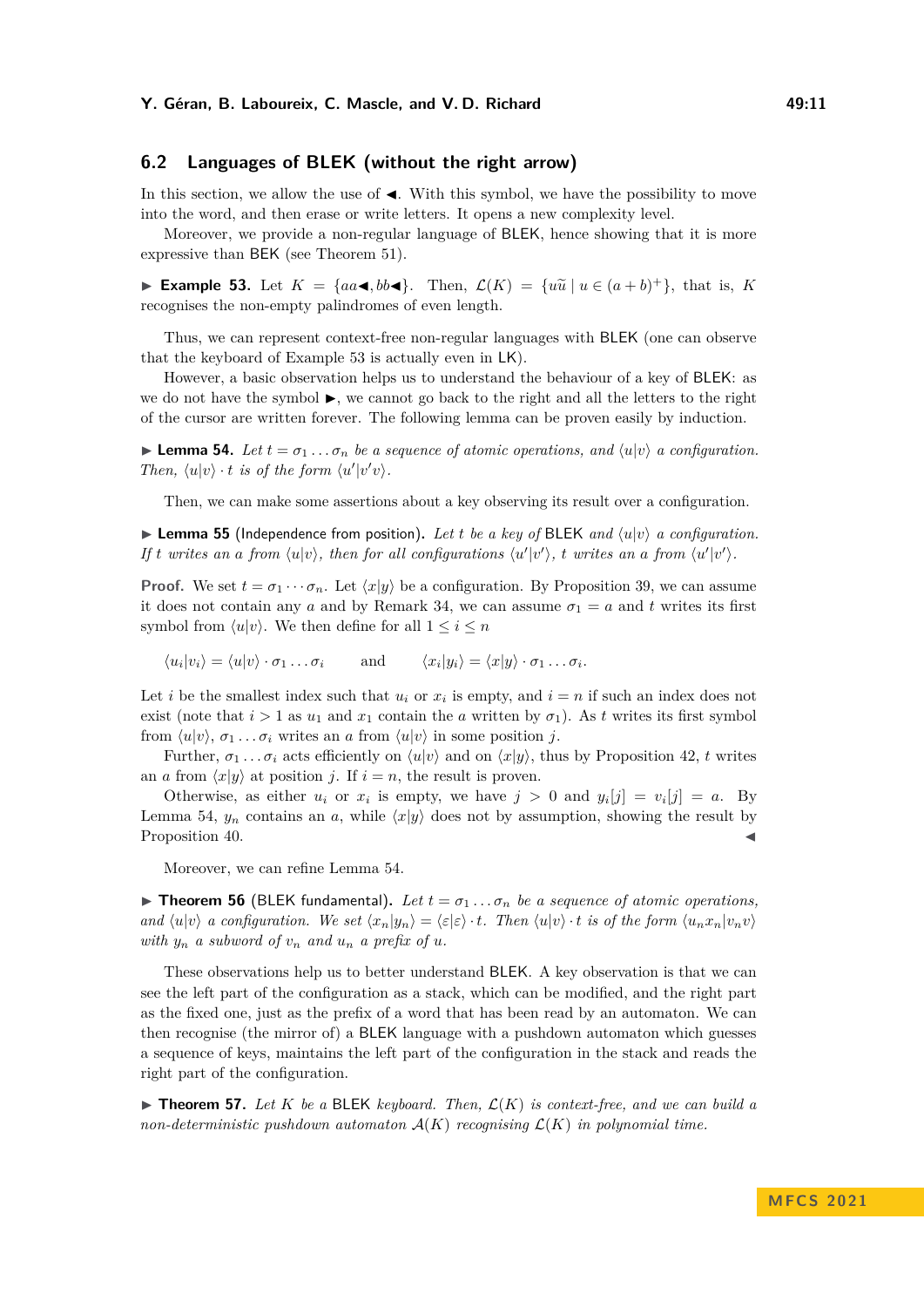# **6.2 Languages of BLEK (without the right arrow)**

In this section, we allow the use of  $\blacktriangleleft$ . With this symbol, we have the possibility to move into the word, and then erase or write letters. It opens a new complexity level.

Moreover, we provide a non-regular language of BLEK, hence showing that it is more expressive than BEK (see Theorem [51\)](#page-8-0).

<span id="page-10-1"></span>▶ **Example 53.** Let  $K = \{aa \blacktriangleleft, bb \blacktriangleleft\}$ . Then,  $\mathcal{L}(K) = \{u\tilde{u} \mid u \in (a+b)^+\}$ , that is, *K* recognizes the non-apprix polindroman of such langth. recognises the non-empty palindromes of even length.

Thus, we can represent context-free non-regular languages with BLEK (one can observe that the keyboard of Example [53](#page-10-1) is actually even in LK).

However, a basic observation helps us to understand the behaviour of a key of BLEK: as we do not have the symbol  $\blacktriangleright$ , we cannot go back to the right and all the letters to the right of the cursor are written forever. The following lemma can be proven easily by induction.

<span id="page-10-2"></span>**Example 54.** Let  $t = \sigma_1 \dots \sigma_n$  be a sequence of atomic operations, and  $\langle u | v \rangle$  a configuration. *Then,*  $\langle u | v \rangle \cdot t$  *is of the form*  $\langle u' | v' v \rangle$ *.* 

Then, we can make some assertions about a key observing its result over a configuration.

 $\blacktriangleright$  **Lemma 55** (Independence from position). Let *t* be a key of BLEK and  $\langle u | v \rangle$  a configuration. If t writes an a from  $\langle u|v\rangle$ , then for all configurations  $\langle u'|v'\rangle$ , t writes an a from  $\langle u'|v'\rangle$ .

**Proof.** We set  $t = \sigma_1 \cdots \sigma_n$ . Let  $\langle x | y \rangle$  be a configuration. By Proposition [39,](#page-6-1) we can assume it does not contain any *a* and by Remark [34,](#page-6-2) we can assume  $\sigma_1 = a$  and *t* writes its first symbol from  $\langle u | v \rangle$ . We then define for all  $1 \leq i \leq n$ 

 $\langle u_i | v_i \rangle = \langle u | v \rangle \cdot \sigma_1 \dots \sigma_i$  and  $\langle x_i | y_i \rangle = \langle x | y \rangle \cdot \sigma_1 \dots \sigma_i$ .

Let *i* be the smallest index such that  $u_i$  or  $x_i$  is empty, and  $i = n$  if such an index does not exist (note that  $i > 1$  as  $u_1$  and  $x_1$  contain the *a* written by  $\sigma_1$ ). As *t* writes its first symbol from  $\langle u|v \rangle$ ,  $\sigma_1 \ldots \sigma_i$  writes an *a* from  $\langle u|v \rangle$  in some position *j*.

Further,  $\sigma_1 \ldots \sigma_i$  acts efficiently on  $\langle u | v \rangle$  and on  $\langle x | y \rangle$ , thus by Proposition [42,](#page-7-0) *t* writes an *a* from  $\langle x|y \rangle$  at position *j*. If  $i = n$ , the result is proven.

Otherwise, as either  $u_i$  or  $x_i$  is empty, we have  $j > 0$  and  $y_i[j] = v_i[j] = a$ . By Lemma [54,](#page-10-2)  $y_n$  contains an *a*, while  $\langle x|y \rangle$  does not by assumption, showing the result by Proposition [40.](#page-6-3)

Moreover, we can refine Lemma [54.](#page-10-2)

<span id="page-10-3"></span> $\triangleright$  **Theorem 56** (BLEK fundamental). Let  $t = \sigma_1 \dots \sigma_n$  be a sequence of atomic operations, and  $\langle u|v\rangle$  a configuration. We set  $\langle x_n|y_n\rangle = \langle \varepsilon | \varepsilon \rangle \cdot t$ . Then  $\langle u|v\rangle \cdot t$  is of the form  $\langle u_n x_n|v_n v\rangle$ *with*  $y_n$  *a subword of*  $v_n$  *and*  $u_n$  *a prefix of*  $u$ *.* 

These observations help us to better understand BLEK. A key observation is that we can see the left part of the configuration as a stack, which can be modified, and the right part as the fixed one, just as the prefix of a word that has been read by an automaton. We can then recognise (the mirror of) a BLEK language with a pushdown automaton which guesses a sequence of keys, maintains the left part of the configuration in the stack and reads the right part of the configuration.

<span id="page-10-0"></span> $\blacktriangleright$  **Theorem 57.** Let K be a BLEK keyboard. Then,  $\mathcal{L}(K)$  is context-free, and we can build a *non-deterministic pushdown automaton*  $\mathcal{A}(K)$  *recognising*  $\mathcal{L}(K)$  *in polynomial time.*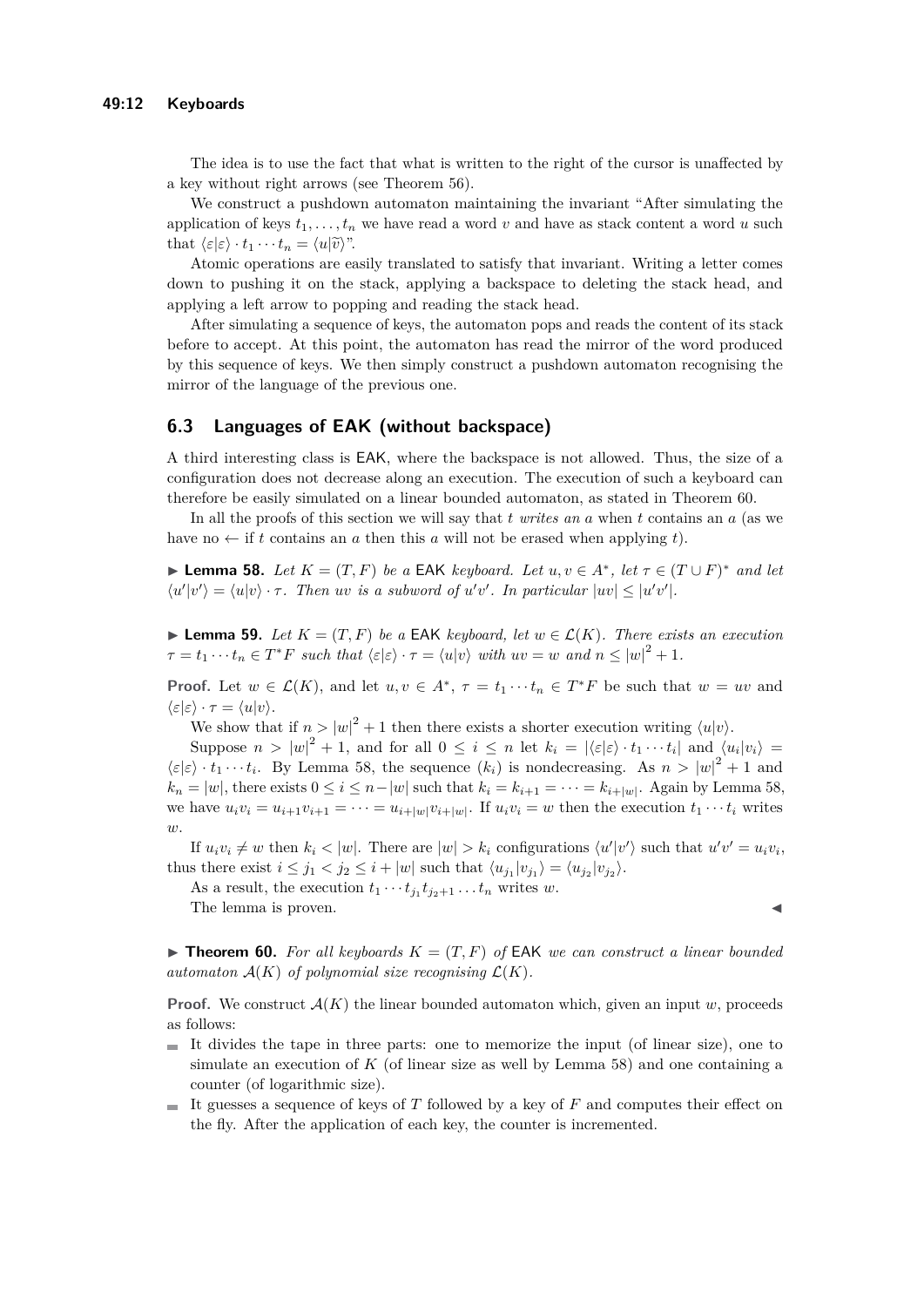The idea is to use the fact that what is written to the right of the cursor is unaffected by a key without right arrows (see Theorem [56\)](#page-10-3).

We construct a pushdown automaton maintaining the invariant "After simulating the application of keys  $t_1, \ldots, t_n$  we have read a word *v* and have as stack content a word *u* such that  $\langle \varepsilon | \varepsilon \rangle \cdot t_1 \cdots t_n = \langle u | \widetilde{v} \rangle$ ".

Atomic operations are easily translated to satisfy that invariant. Writing a letter comes down to pushing it on the stack, applying a backspace to deleting the stack head, and applying a left arrow to popping and reading the stack head.

After simulating a sequence of keys, the automaton pops and reads the content of its stack before to accept. At this point, the automaton has read the mirror of the word produced by this sequence of keys. We then simply construct a pushdown automaton recognising the mirror of the language of the previous one.

## **6.3 Languages of EAK (without backspace)**

A third interesting class is EAK, where the backspace is not allowed. Thus, the size of a configuration does not decrease along an execution. The execution of such a keyboard can therefore be easily simulated on a linear bounded automaton, as stated in Theorem [60.](#page-11-0)

In all the proofs of this section we will say that *t writes an a* when *t* contains an *a* (as we have no  $\leftarrow$  if *t* contains an *a* then this *a* will not be erased when applying *t*).

<span id="page-11-1"></span>▶ **Lemma 58.** *Let*  $K = (T, F)$  *be a* EAK *keyboard. Let*  $u, v \in A^*$ , *let*  $\tau \in (T \cup F)^*$  *and let*  $\langle u'|v'\rangle = \langle u|v\rangle \cdot \tau$ . Then *uv is a subword of*  $u'v'$ . In particular  $|uv| \leq |u'v'|$ .

<span id="page-11-2"></span>▶ **Lemma 59.** Let  $K = (T, F)$  be a EAK keyboard, let  $w \in \mathcal{L}(K)$ . There exists an execution  $\tau = t_1 \cdots t_n \in T^*F$  such that  $\langle \varepsilon | \varepsilon \rangle \cdot \tau = \langle u | v \rangle$  with  $uv = w$  and  $n \leq |w|^2 + 1$ .

**Proof.** Let  $w \in \mathcal{L}(K)$ , and let  $u, v \in A^*$ ,  $\tau = t_1 \cdots t_n \in T^*F$  be such that  $w = uv$  and  $\langle \varepsilon | \varepsilon \rangle \cdot \tau = \langle u | v \rangle.$ 

We show that if  $n > |w|^2 + 1$  then there exists a shorter execution writing  $\langle u | v \rangle$ .

Suppose  $n > |w|^2 + 1$ , and for all  $0 \le i \le n$  let  $k_i = |\langle \varepsilon | \varepsilon \rangle \cdot t_1 \cdots t_i|$  and  $\langle u_i | v_i \rangle =$  $\langle \varepsilon | \varepsilon \rangle \cdot t_1 \cdots t_i$ . By Lemma [58,](#page-11-1) the sequence  $(k_i)$  is nondecreasing. As  $n > |w|^2 + 1$  and  $k_n = |w|$ , there exists  $0 \le i \le n - |w|$  such that  $k_i = k_{i+1} = \cdots = k_{i+|w|}$ . Again by Lemma [58,](#page-11-1) we have  $u_i v_i = u_{i+1} v_{i+1} = \cdots = u_{i+|w|} v_{i+|w|}$ . If  $u_i v_i = w$  then the execution  $t_1 \cdots t_i$  writes  $\overline{w}$ 

If  $u_i v_i \neq w$  then  $k_i < |w|$ . There are  $|w| > k_i$  configurations  $\langle u'|v' \rangle$  such that  $u'v' = u_i v_i$ , thus there exist  $i \leq j_1 < j_2 \leq i + |w|$  such that  $\langle u_{j_1} | v_{j_1} \rangle = \langle u_{j_2} | v_{j_2} \rangle$ .

As a result, the execution  $t_1 \cdots t_{j_1} t_{j_2+1} \ldots t_n$  writes *w*.

The lemma is proven.

<span id="page-11-0"></span> $\blacktriangleright$  **Theorem 60.** For all keyboards  $K = (T, F)$  of EAK we can construct a linear bounded *automaton*  $\mathcal{A}(K)$  *of polynomial size recognising*  $\mathcal{L}(K)$ *.* 

**Proof.** We construct  $\mathcal{A}(K)$  the linear bounded automaton which, given an input *w*, proceeds as follows:

- $\blacksquare$  It divides the tape in three parts: one to memorize the input (of linear size), one to simulate an execution of  $K$  (of linear size as well by Lemma [58\)](#page-11-1) and one containing a counter (of logarithmic size).
- It guesses a sequence of keys of  $T$  followed by a key of  $F$  and computes their effect on the fly. After the application of each key, the counter is incremented.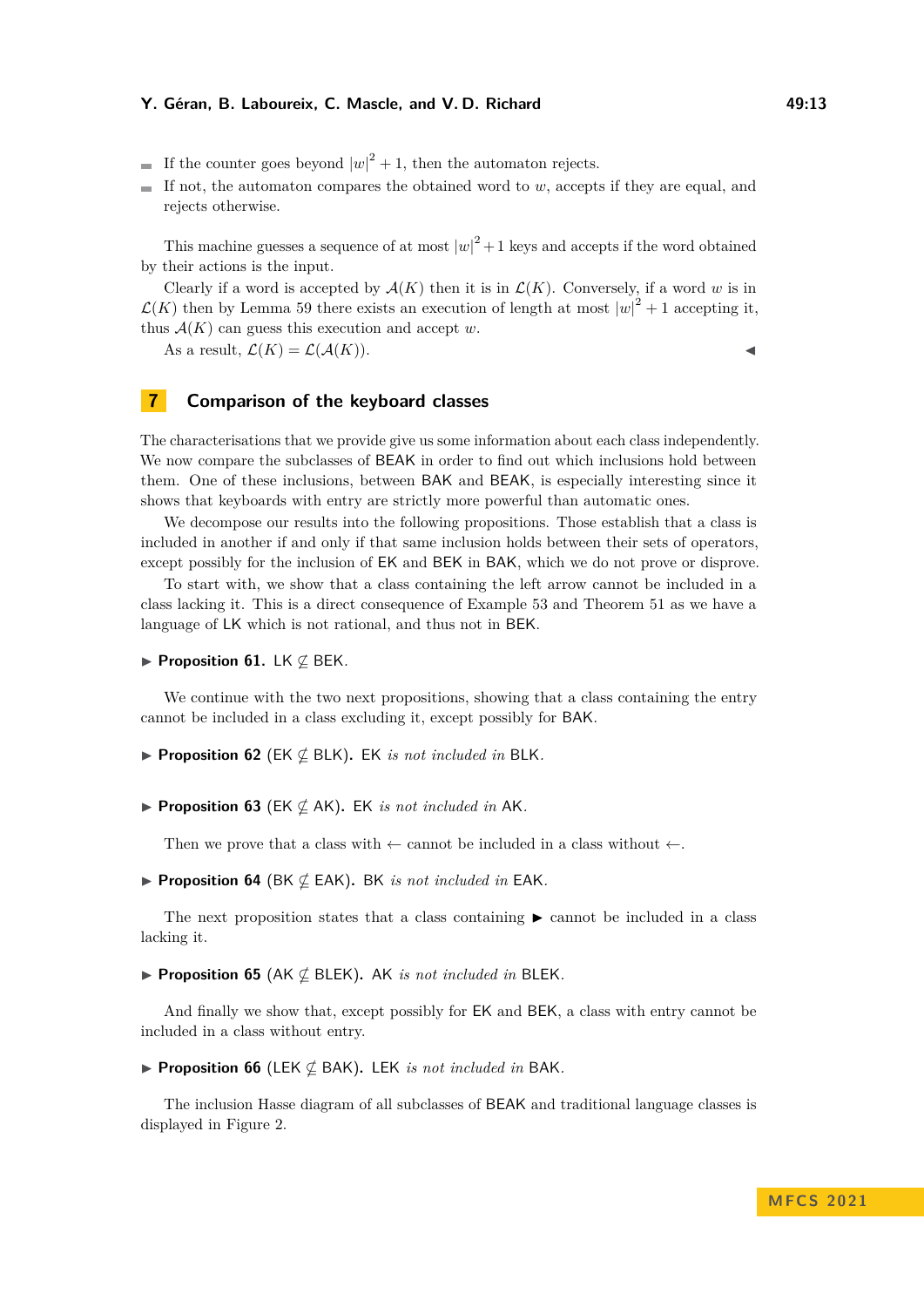#### **Y. Géran, B. Laboureix, C. Mascle, and V. D. Richard 49:13** 49:13

- If the counter goes beyond  $|w|^2 + 1$ , then the automaton rejects.
- If not, the automaton compares the obtained word to  $w$ , accepts if they are equal, and  $\equiv$ rejects otherwise.

This machine guesses a sequence of at most  $|w|^2 + 1$  keys and accepts if the word obtained by their actions is the input.

Clearly if a word is accepted by  $\mathcal{A}(K)$  then it is in  $\mathcal{L}(K)$ . Conversely, if a word w is in  $\mathcal{L}(K)$  then by Lemma [59](#page-11-2) there exists an execution of length at most  $|w|^2 + 1$  accepting it, thus  $\mathcal{A}(K)$  can guess this execution and accept *w*.

As a result,  $\mathcal{L}(K) = \mathcal{L}(\mathcal{A}(K)).$ 

# **7 Comparison of the keyboard classes**

The characterisations that we provide give us some information about each class independently. We now compare the subclasses of **BEAK** in order to find out which inclusions hold between them. One of these inclusions, between BAK and BEAK, is especially interesting since it shows that keyboards with entry are strictly more powerful than automatic ones.

We decompose our results into the following propositions. Those establish that a class is included in another if and only if that same inclusion holds between their sets of operators, except possibly for the inclusion of EK and BEK in BAK, which we do not prove or disprove.

To start with, we show that a class containing the left arrow cannot be included in a class lacking it. This is a direct consequence of Example [53](#page-10-1) and Theorem [51](#page-8-0) as we have a language of LK which is not rational, and thus not in BEK.

▶ **Proposition 61.** LK ̸⊆ BEK*.*

We continue with the two next propositions, showing that a class containing the entry cannot be included in a class excluding it, except possibly for BAK.

- <span id="page-12-3"></span>▶ **Proposition 62** (EK ⊈ BLK)**.** EK *is not included in* BLK*.*
- ▶ **Proposition 63** (EK ⊈ AK)**.** EK *is not included in* AK*.*

Then we prove that a class with  $\leftarrow$  cannot be included in a class without  $\leftarrow$ .

<span id="page-12-0"></span>▶ **Proposition 64** (BK ⊈ EAK)**.** BK *is not included in* EAK*.*

The next proposition states that a class containing  $\blacktriangleright$  cannot be included in a class lacking it.

<span id="page-12-1"></span>▶ **Proposition 65** (AK ⊈ BLEK)**.** AK *is not included in* BLEK*.*

And finally we show that, except possibly for EK and BEK, a class with entry cannot be included in a class without entry.

<span id="page-12-2"></span>▶ **Proposition 66** (LEK ⊈ BAK)**.** LEK *is not included in* BAK*.*

The inclusion Hasse diagram of all subclasses of BEAK and traditional language classes is displayed in Figure [2.](#page-13-0)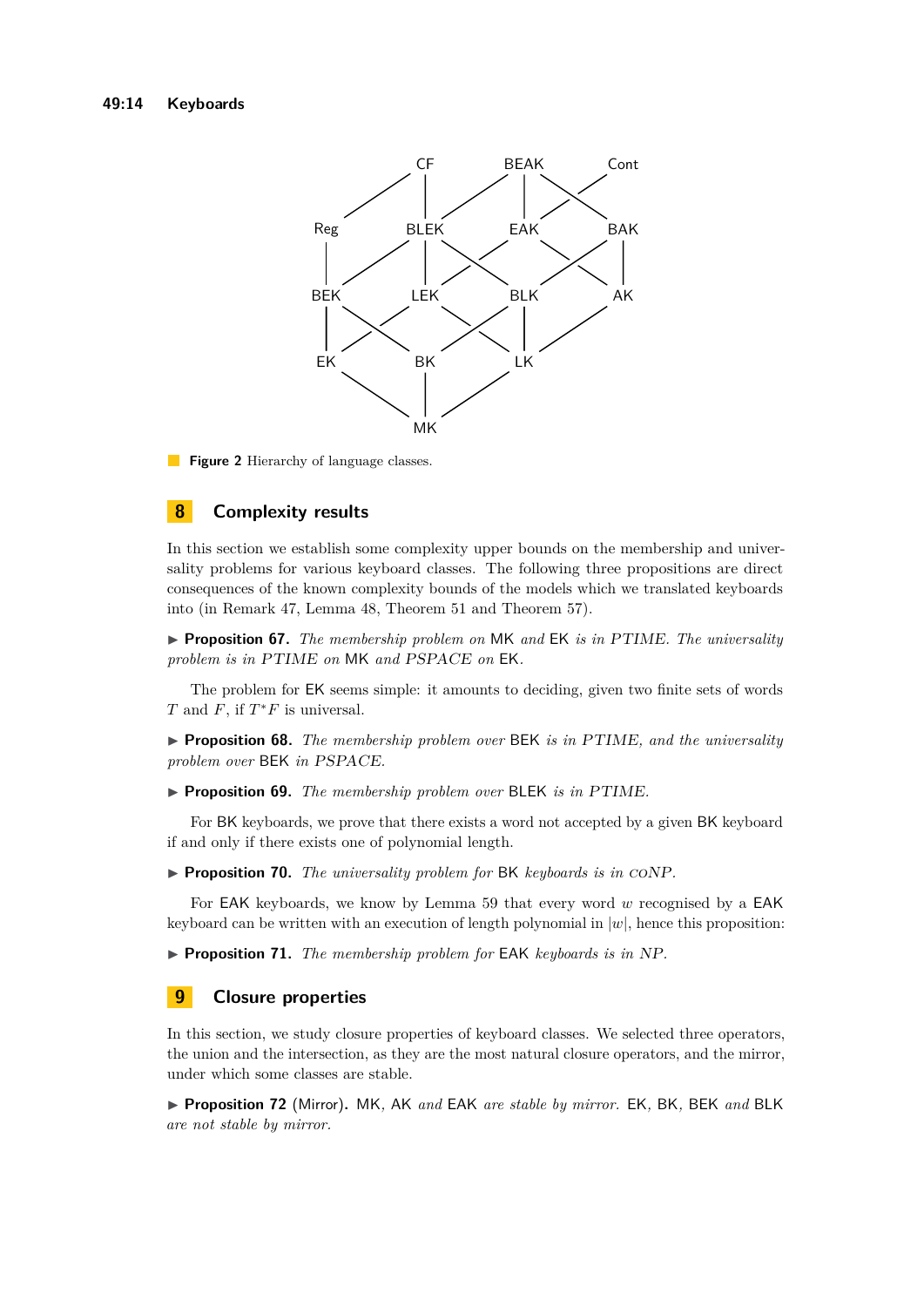<span id="page-13-0"></span>

**Figure 2** Hierarchy of language classes.

# **8 Complexity results**

In this section we establish some complexity upper bounds on the membership and universality problems for various keyboard classes. The following three propositions are direct consequences of the known complexity bounds of the models which we translated keyboards into (in Remark [47,](#page-7-1) Lemma [48,](#page-7-2) Theorem [51](#page-8-0) and Theorem [57\)](#page-10-0).

▶ **Proposition 67.** *The membership problem on* MK *and* EK *is in* PTIME*. The universality problem is in* PTIME *on* MK *and* PSPACE *on* EK*.*

The problem for EK seems simple: it amounts to deciding, given two finite sets of words *T* and  $F$ , if  $T^*F$  is universal.

▶ **Proposition 68.** *The membership problem over* BEK *is in* PTIME*, and the universality problem over* BEK *in* PSPACE*.*

▶ **Proposition 69.** *The membership problem over* BLEK *is in* PTIME*.*

For BK keyboards, we prove that there exists a word not accepted by a given BK keyboard if and only if there exists one of polynomial length.

<span id="page-13-1"></span>▶ **Proposition 70.** *The universality problem for* BK *keyboards is in* coNP*.*

For EAK keyboards, we know by Lemma [59](#page-11-2) that every word *w* recognised by a EAK keyboard can be written with an execution of length polynomial in  $|w|$ , hence this proposition:

▶ **Proposition 71.** *The membership problem for* EAK *keyboards is in* NP*.*

# **9 Closure properties**

In this section, we study closure properties of keyboard classes. We selected three operators, the union and the intersection, as they are the most natural closure operators, and the mirror, under which some classes are stable.

<span id="page-13-2"></span>▶ **Proposition 72** (Mirror)**.** MK*,* AK *and* EAK *are stable by mirror.* EK*,* BK*,* BEK *and* BLK *are not stable by mirror.*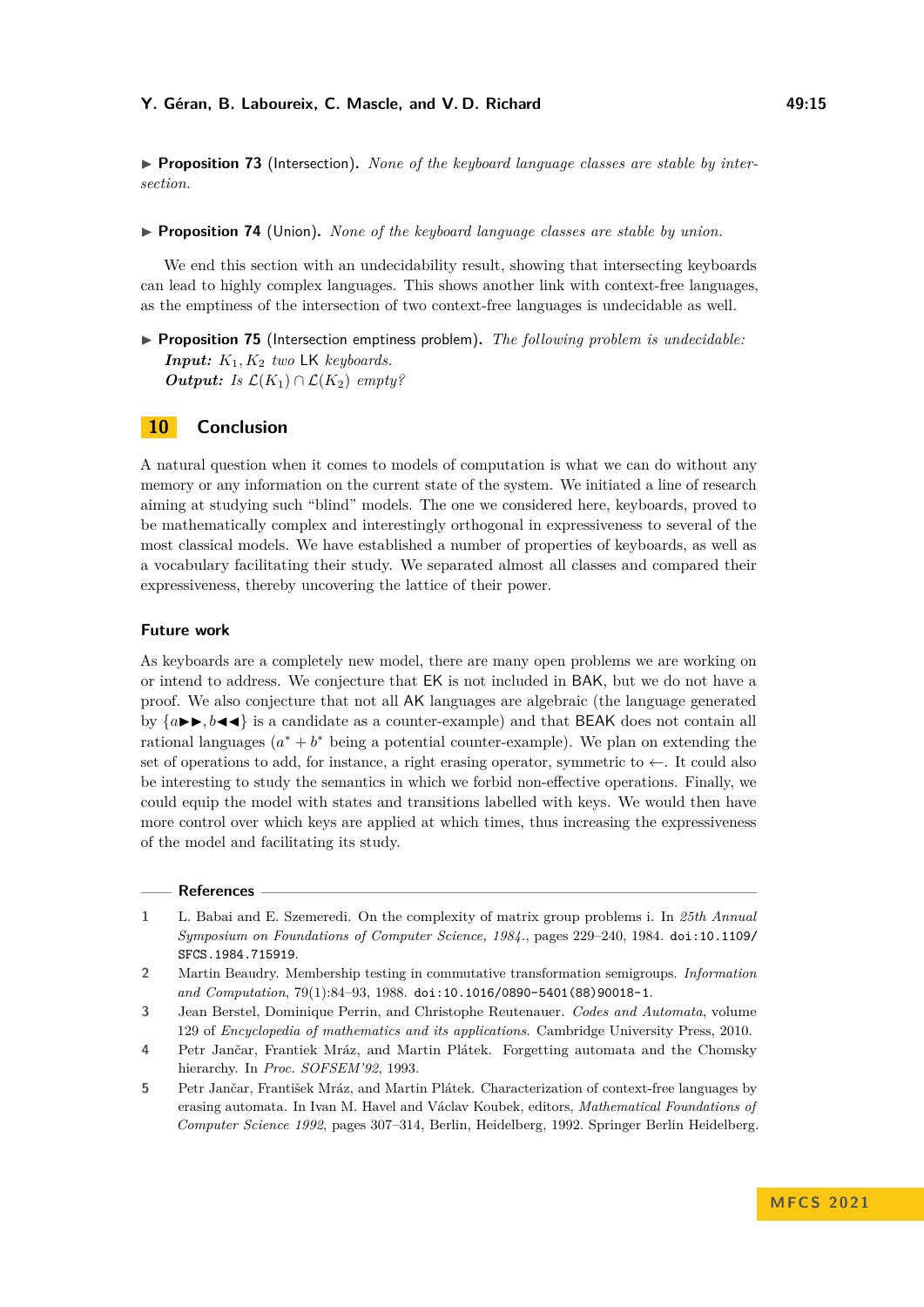#### **Y. Géran, B. Laboureix, C. Mascle, and V. D. Richard 49:15**

<span id="page-14-5"></span>▶ **Proposition 73** (Intersection). *None of the keyboard language classes are stable by intersection.*

<span id="page-14-6"></span>▶ **Proposition 74** (Union)**.** *None of the keyboard language classes are stable by union.*

We end this section with an undecidability result, showing that intersecting keyboards can lead to highly complex languages. This shows another link with context-free languages, as the emptiness of the intersection of two context-free languages is undecidable as well.

<span id="page-14-7"></span>▶ **Proposition 75** (Intersection emptiness problem)**.** *The following problem is undecidable: Input: K*1*, K*<sup>2</sup> *two* LK *keyboards. Output: Is*  $\mathcal{L}(K_1) \cap \mathcal{L}(K_2)$  *empty?* 

## **10 Conclusion**

A natural question when it comes to models of computation is what we can do without any memory or any information on the current state of the system. We initiated a line of research aiming at studying such "blind" models. The one we considered here, keyboards, proved to be mathematically complex and interestingly orthogonal in expressiveness to several of the most classical models. We have established a number of properties of keyboards, as well as a vocabulary facilitating their study. We separated almost all classes and compared their expressiveness, thereby uncovering the lattice of their power.

#### **Future work**

As keyboards are a completely new model, there are many open problems we are working on or intend to address. We conjecture that EK is not included in BAK, but we do not have a proof. We also conjecture that not all AK languages are algebraic (the language generated by  ${a \rightarrow b, b \rightarrow c}$  is a candidate as a counter-example) and that BEAK does not contain all rational languages  $(a^* + b^*$  being a potential counter-example). We plan on extending the set of operations to add, for instance, a right erasing operator, symmetric to  $\leftarrow$ . It could also be interesting to study the semantics in which we forbid non-effective operations. Finally, we could equip the model with states and transitions labelled with keys. We would then have more control over which keys are applied at which times, thus increasing the expressiveness of the model and facilitating its study.

#### **References**

<span id="page-14-1"></span>**1** L. Babai and E. Szemeredi. On the complexity of matrix group problems i. In *25th Annual Symposium on Foundations of Computer Science, 1984.*, pages 229–240, 1984. [doi:10.1109/](https://doi.org/10.1109/SFCS.1984.715919) [SFCS.1984.715919](https://doi.org/10.1109/SFCS.1984.715919).

- <span id="page-14-2"></span>**3** Jean Berstel, Dominique Perrin, and Christophe Reutenauer. *Codes and Automata*, volume 129 of *Encyclopedia of mathematics and its applications*. Cambridge University Press, 2010.
- <span id="page-14-3"></span>**4** Petr Jančar, Frantiek Mráz, and Martin Plátek. Forgetting automata and the Chomsky hierarchy. In *Proc. SOFSEM'92*, 1993.
- <span id="page-14-4"></span>**5** Petr Jančar, František Mráz, and Martin Plátek. Characterization of context-free languages by erasing automata. In Ivan M. Havel and Václav Koubek, editors, *Mathematical Foundations of Computer Science 1992*, pages 307–314, Berlin, Heidelberg, 1992. Springer Berlin Heidelberg.

<span id="page-14-0"></span>**<sup>2</sup>** Martin Beaudry. Membership testing in commutative transformation semigroups. *Information and Computation*, 79(1):84–93, 1988. [doi:10.1016/0890-5401\(88\)90018-1](https://doi.org/10.1016/0890-5401(88)90018-1).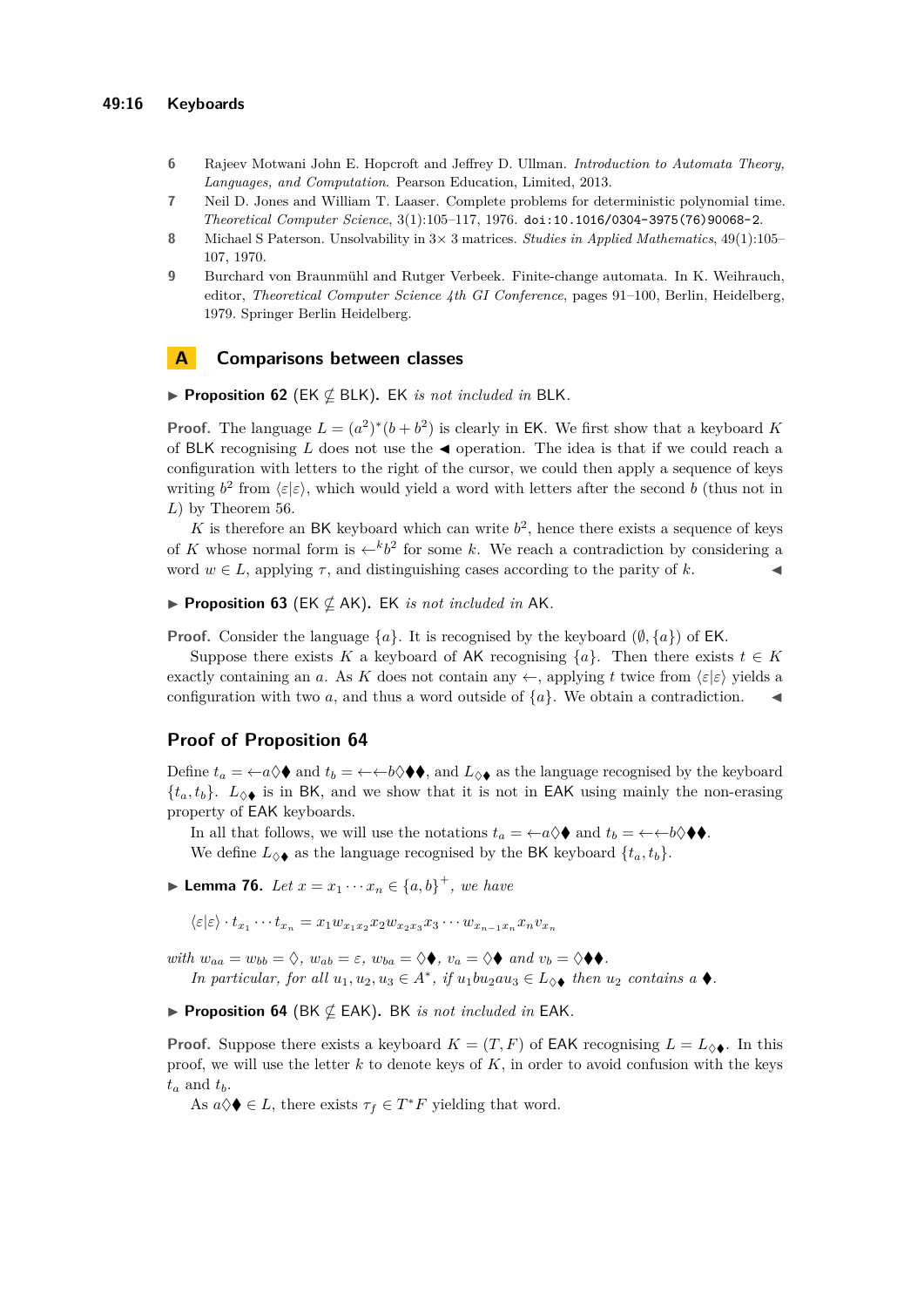- <span id="page-15-3"></span>**6** Rajeev Motwani John E. Hopcroft and Jeffrey D. Ullman. *Introduction to Automata Theory, Languages, and Computation*. Pearson Education, Limited, 2013.
- <span id="page-15-0"></span>**7** Neil D. Jones and William T. Laaser. Complete problems for deterministic polynomial time. *Theoretical Computer Science*, 3(1):105–117, 1976. [doi:10.1016/0304-3975\(76\)90068-2](https://doi.org/10.1016/0304-3975(76)90068-2).
- <span id="page-15-1"></span>**8** Michael S Paterson. Unsolvability in 3× 3 matrices. *Studies in Applied Mathematics*, 49(1):105– 107, 1970.
- <span id="page-15-2"></span>**9** Burchard von Braunmühl and Rutger Verbeek. Finite-change automata. In K. Weihrauch, editor, *Theoretical Computer Science 4th GI Conference*, pages 91–100, Berlin, Heidelberg, 1979. Springer Berlin Heidelberg.

### **A Comparisons between classes**

▶ **Proposition 62** (EK ⊈ BLK)**.** EK *is not included in* BLK*.*

**Proof.** The language  $L = (a^2)^*(b + b^2)$  is clearly in EK. We first show that a keyboard K of BLK recognising *L* does not use the ◀ operation. The idea is that if we could reach a configuration with letters to the right of the cursor, we could then apply a sequence of keys writing  $b^2$  from  $\langle \varepsilon | \varepsilon \rangle$ , which would yield a word with letters after the second *b* (thus not in *L*) by Theorem [56.](#page-10-3)

K is therefore an BK keyboard which can write  $b^2$ , hence there exists a sequence of keys of *K* whose normal form is  $\leftarrow^{k} b^2$  for some *k*. We reach a contradiction by considering a word  $w \in L$ , applying  $\tau$ , and distinguishing cases according to the parity of k.

▶ **Proposition 63** (EK ⊈ AK)**.** EK *is not included in* AK*.*

**Proof.** Consider the language  $\{a\}$ . It is recognised by the keyboard  $(\emptyset, \{a\})$  of EK.

Suppose there exists *K* a keyboard of AK recognising  $\{a\}$ . Then there exists  $t \in K$ exactly containing an *a*. As *K* does not contain any  $\leftarrow$ , applying *t* twice from  $\langle \varepsilon | \varepsilon \rangle$  yields a configuration with two *a*, and thus a word outside of  ${a}$ . We obtain a contradiction.

## **Proof of Proposition [64](#page-12-0)**

Define  $t_a = \leftarrow a \Diamond \blacklozenge$  and  $t_b = \leftarrow b \Diamond \blacklozenge$ , and  $L_{\Diamond \blacklozenge}$  as the language recognised by the keyboard  $\{t_a, t_b\}$ .  $L_{\Diamond \blacklozenge}$  is in BK, and we show that it is not in EAK using mainly the non-erasing property of EAK keyboards.

In all that follows, we will use the notations  $t_a = \leftarrow a \lozenge \blacklozenge$  and  $t_b = \leftarrow \leftarrow b \lozenge \blacklozenge \blacklozenge$ .

We define  $L_{\Diamond \blacklozenge}$  as the language recognised by the BK keyboard  $\{t_a, t_b\}$ .

<span id="page-15-4"></span>▶ **Lemma 76.** *Let*  $x = x_1 \cdots x_n \in \{a, b\}^+$ , we have

 $\langle \varepsilon | \varepsilon \rangle \cdot t_{x_1} \cdots t_{x_n} = x_1 w_{x_1 x_2} x_2 w_{x_2 x_3} x_3 \cdots w_{x_{n-1} x_n} x_n v_{x_n}$ 

*with*  $w_{aa} = w_{bb} = \diamondsuit$ ,  $w_{ab} = \varepsilon$ ,  $w_{ba} = \diamondsuit \blacklozenge$ ,  $v_a = \diamondsuit \blacklozenge$  and  $v_b = \diamondsuit \blacklozenge$ .

*In particular, for all*  $u_1, u_2, u_3 \in A^*$ , *if*  $u_1bu_2au_3 \in L_{\diamondsuit}$  *then*  $u_2$  *contains a*  $\blacklozenge$ .

▶ **Proposition 64** (BK ⊈ EAK)**.** BK *is not included in* EAK*.*

**Proof.** Suppose there exists a keyboard  $K = (T, F)$  of EAK recognising  $L = L_{\diamondsuit} \bullet$ . In this proof, we will use the letter  $k$  to denote keys of  $K$ , in order to avoid confusion with the keys  $t_a$  and  $t_b$ .

As  $a \Diamond \blacklozenge \in L$ , there exists  $\tau_f \in T^*F$  yielding that word.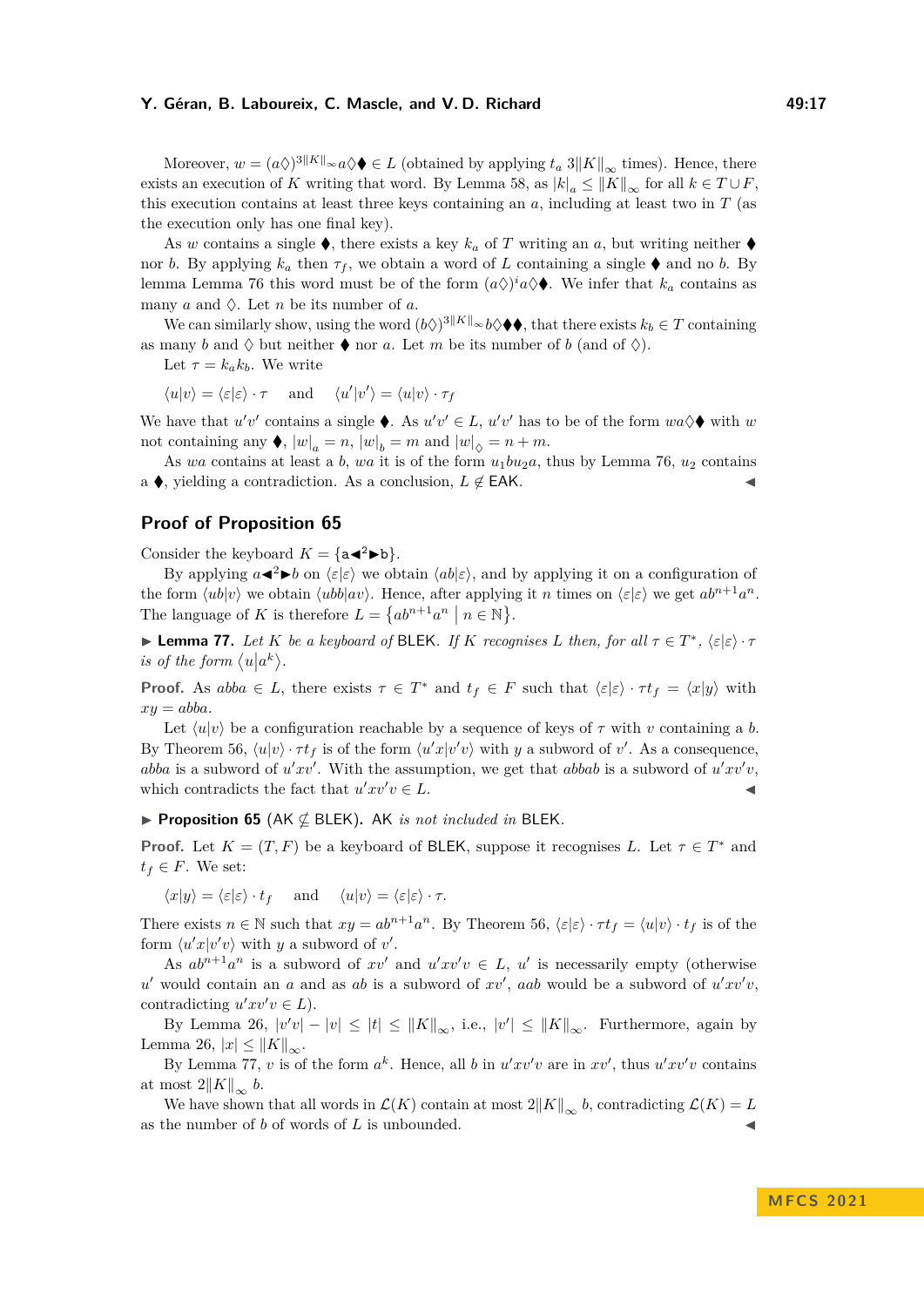#### **Y. Géran, B. Laboureix, C. Mascle, and V. D. Richard 49:17**

Moreover,  $w = (a\Diamond)^{3||K||_{\infty}} a \Diamond \blacklozenge L$  (obtained by applying  $t_a 3||K||_{\infty}$  times). Hence, there exists an execution of *K* writing that word. By Lemma [58,](#page-11-1) as  $|k|_a \leq ||K||_{\infty}$  for all  $k \in T \cup F$ , this execution contains at least three keys containing an *a*, including at least two in *T* (as the execution only has one final key).

As *w* contains a single  $\bullet$ , there exists a key  $k_a$  of *T* writing an *a*, but writing neither  $\bullet$ nor *b*. By applying  $k_a$  then  $\tau_f$ , we obtain a word of L containing a single  $\blacklozenge$  and no *b*. By lemma Lemma [76](#page-15-4) this word must be of the form  $(a\diamondsuit)^i a \diamondsuit \blacklozenge$ . We infer that  $k_a$  contains as many *a* and  $\Diamond$ . Let *n* be its number of *a*.

We can similarly show, using the word  $(b\diamondsuit)^{3||K||} \sim b\diamondsuit \blacklozenge,$  that there exists  $k_b \in T$  containing as many *b* and  $\Diamond$  but neither  $\blacklozenge$  nor *a*. Let *m* be its number of *b* (and of  $\Diamond$ ).

Let  $\tau = k_a k_b$ . We write

 $\langle u|v\rangle = \langle \varepsilon|\varepsilon\rangle \cdot \tau$  and  $\langle u'|v'\rangle = \langle u|v\rangle \cdot \tau_f$ 

We have that  $u'v'$  contains a single  $\blacklozenge$ . As  $u'v' \in L$ ,  $u'v'$  has to be of the form  $wa \lozenge \blacklozenge$  with  $w$ not containing any  $\blacklozenge$ ,  $|w|_a = n$ ,  $|w|_b = m$  and  $|w|_{\lozenge} = n + m$ .

As *wa* contains at least a *b*, *wa* it is of the form  $u_1bu_2a$ , thus by Lemma [76,](#page-15-4)  $u_2$  contains a  $\blacklozenge$ , yielding a contradiction. As a conclusion,  $L \notin EAK$ .

# **Proof of Proposition [65](#page-12-1)**

Consider the keyboard  $K = \{a \blacktriangleleft^2 \blacktriangleright b\}.$ 

By applying  $a \triangleleft^2 \triangleright b$  on  $\langle \varepsilon | \varepsilon \rangle$  we obtain  $\langle ab | \varepsilon \rangle$ , and by applying it on a configuration of the form  $\langle ub|v \rangle$  we obtain  $\langle ub|av \rangle$ . Hence, after applying it *n* times on  $\langle \varepsilon | \varepsilon \rangle$  we get  $ab^{n+1}a^n$ . The language of *K* is therefore  $L = \{ab^{n+1}a^n \mid n \in \mathbb{N}\}.$ 

<span id="page-16-0"></span>▶ **Lemma 77.** *Let K be a keyboard of* BLEK*. If K recognises L then, for all*  $\tau \in T^*$ *,*  $\langle \varepsilon | \varepsilon \rangle \cdot \tau$ *is of the form*  $\langle u | a^k \rangle$ .

**Proof.** As  $abba \in L$ , there exists  $\tau \in T^*$  and  $t_f \in F$  such that  $\langle \varepsilon | \varepsilon \rangle \cdot \tau t_f = \langle x | y \rangle$  with  $xy = abba$ .

Let  $\langle u|v\rangle$  be a configuration reachable by a sequence of keys of  $\tau$  with *v* containing a *b*. By Theorem [56,](#page-10-3)  $\langle u|v \rangle \cdot \tau t_f$  is of the form  $\langle u'x|v'v \rangle$  with *y* a subword of *v'*. As a consequence, *abba* is a subword of  $u'xv'$ . With the assumption, we get that *abbab* is a subword of  $u'xv'v$ , which contradicts the fact that  $u'xv'v \in L$ .

▶ **Proposition 65** (AK ⊈ BLEK)**.** AK *is not included in* BLEK*.*

**Proof.** Let  $K = (T, F)$  be a keyboard of BLEK, suppose it recognises *L*. Let  $\tau \in T^*$  and  $t_f \in F$ . We set:

 $\langle x|y\rangle = \langle \varepsilon | \varepsilon \rangle \cdot t_f$  and  $\langle u|v\rangle = \langle \varepsilon | \varepsilon \rangle \cdot \tau.$ 

There exists  $n \in \mathbb{N}$  such that  $xy = ab^{n+1}a^n$ . By Theorem [56,](#page-10-3)  $\langle \varepsilon | \varepsilon \rangle \cdot \tau t_f = \langle u | v \rangle \cdot t_f$  is of the form  $\langle u'x|v'v \rangle$  with *y* a subword of *v'*.

As  $ab^{n+1}a^n$  is a subword of  $xv'$  and  $u'xv'v \in L$ ,  $u'$  is necessarily empty (otherwise  $u'$  would contain an *a* and as *ab* is a subword of  $xv'$ , *aab* would be a subword of  $u'xv'v$ , contradicting  $u'xv'v \in L$ ).

By Lemma [26,](#page-4-0)  $|v'v| - |v| \leq |t| \leq ||K||_{\infty}$ , i.e.,  $|v'| \leq ||K||_{\infty}$ . Furthermore, again by Lemma [26,](#page-4-0)  $|x|$  ≤  $||K||_{\infty}$ .

By Lemma [77,](#page-16-0) *v* is of the form  $a^k$ . Hence, all *b* in  $u'xv'v$  are in  $xv'$ , thus  $u'xv'v$  contains at most  $2||K||_{\infty} b$ .

We have shown that all words in  $\mathcal{L}(K)$  contain at most  $2||K||_{\infty}$  *b*, contradicting  $\mathcal{L}(K) = L$ as the number of  $b$  of words of  $L$  is unbounded.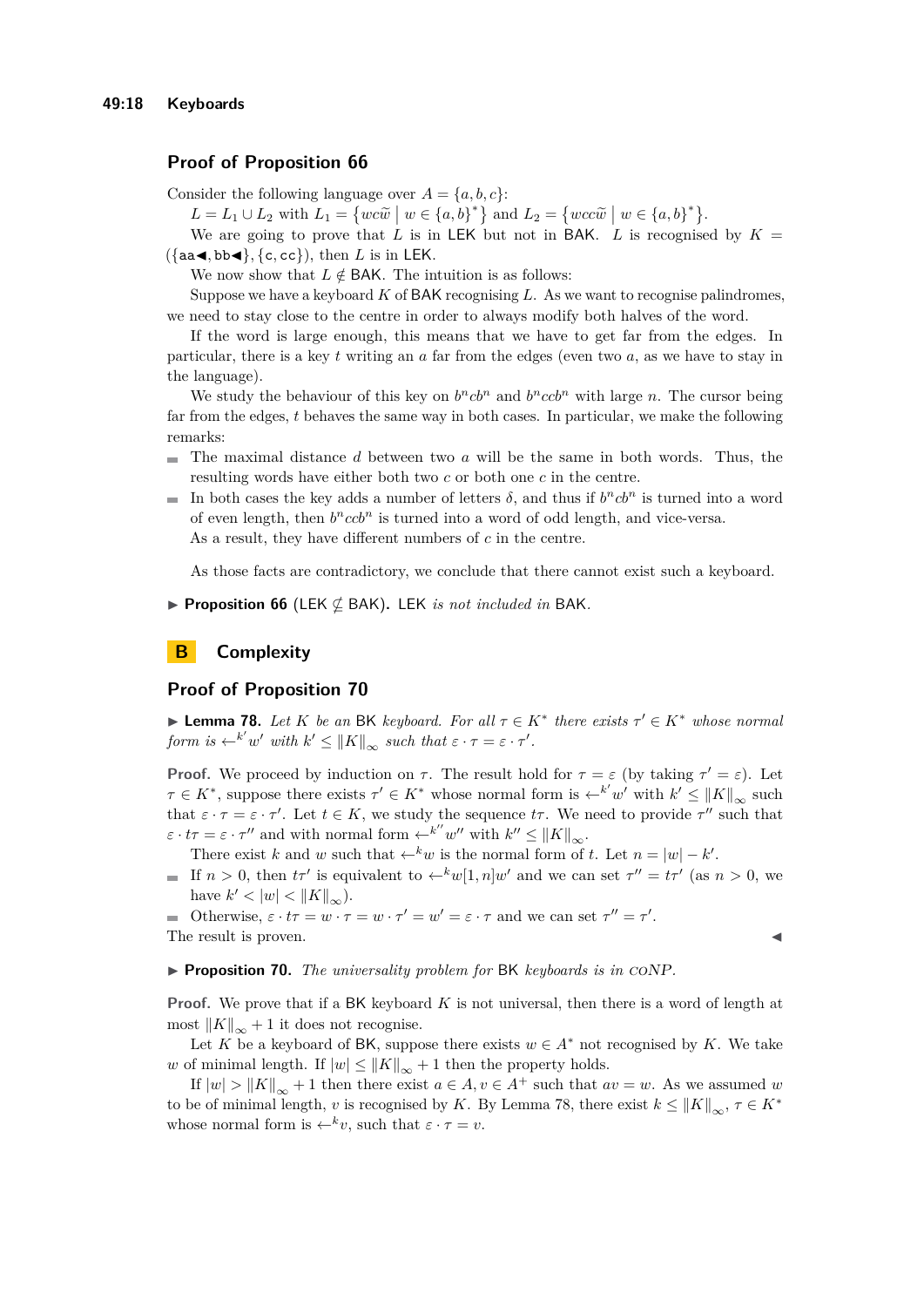# **Proof of Proposition [66](#page-12-2)**

Consider the following language over  $A = \{a, b, c\}$ :

 $L = L_1 \cup L_2$  with  $L_1 = \{wc\tilde{w} \mid w \in \{a,b\}^*\}$  and  $L_2 = \{wc\tilde{w} \mid w \in \{a,b\}^*\}$ .<br>We are given to prove that *L* is in LEK but not in BAK *L* is proceduring

We are going to prove that L is in LEK but not in BAK. L is recognised by  $K =$ ({aa◀*,* bb◀}*,* {c*,* cc}), then *L* is in LEK.

We now show that  $L \notin BAK$ . The intuition is as follows:

Suppose we have a keyboard *K* of BAK recognising *L*. As we want to recognise palindromes, we need to stay close to the centre in order to always modify both halves of the word.

If the word is large enough, this means that we have to get far from the edges. In particular, there is a key *t* writing an *a* far from the edges (even two *a*, as we have to stay in the language).

We study the behaviour of this key on  $b<sup>n</sup>cb<sup>n</sup>$  and  $b<sup>n</sup>ccb<sup>n</sup>$  with large *n*. The cursor being far from the edges, *t* behaves the same way in both cases. In particular, we make the following remarks:

- The maximal distance *d* between two *a* will be the same in both words. Thus, the ÷. resulting words have either both two *c* or both one *c* in the centre.
- In both cases the key adds a number of letters  $\delta$ , and thus if  $b<sup>n</sup>cb<sup>n</sup>$  is turned into a word of even length, then  $b<sup>n</sup>ccb<sup>n</sup>$  is turned into a word of odd length, and vice-versa. As a result, they have different numbers of *c* in the centre.

As those facts are contradictory, we conclude that there cannot exist such a keyboard.

▶ **Proposition 66** (LEK ⊈ BAK)**.** LEK *is not included in* BAK*.*

# **B Complexity**

### **Proof of Proposition [70](#page-13-1)**

<span id="page-17-0"></span>▶ **Lemma 78.** *Let K be an* BK *keyboard. For all*  $\tau \in K^*$  *there exists*  $\tau' \in K^*$  *whose normal form is*  $\leftarrow^{k'} w'$  *with*  $k' \leq ||K||_{\infty}$  *such that*  $\varepsilon \cdot \tau = \varepsilon \cdot \tau'.$ 

**Proof.** We proceed by induction on  $\tau$ . The result hold for  $\tau = \varepsilon$  (by taking  $\tau' = \varepsilon$ ). Let  $\tau \in K^*$ , suppose there exists  $\tau' \in K^*$  whose normal form is  $\leftarrow^{k'} w'$  with  $k' \le ||K||_{\infty}$  such that  $\varepsilon \cdot \tau = \varepsilon \cdot \tau'$ . Let  $t \in K$ , we study the sequence  $t\tau$ . We need to provide  $\tau''$  such that  $\varepsilon \cdot t\tau = \varepsilon \cdot \tau''$  and with normal form  $\leftarrow^{k''} w''$  with  $k'' \leq ||K||_{\infty}$ .

There exist *k* and *w* such that  $\leftarrow^k w$  is the normal form of *t*. Let  $n = |w| - k'$ .

If  $n > 0$ , then  $t\tau'$  is equivalent to  $\leftarrow^k w[1, n]w'$  and we can set  $\tau'' = t\tau'$  (as  $n > 0$ , we have  $k' < |w| < \|K\|_{\infty}$ ).

Otherwise,  $\varepsilon \cdot t\tau = w \cdot \tau = w \cdot \tau' = w' = \varepsilon \cdot \tau$  and we can set  $\tau'' = \tau'$ . The result is proven.

▶ **Proposition 70.** *The universality problem for* BK *keyboards is in* coNP*.*

**Proof.** We prove that if a BK keyboard *K* is not universal, then there is a word of length at most  $||K||_{\infty} + 1$  it does not recognise.

Let *K* be a keyboard of BK, suppose there exists  $w \in A^*$  not recognised by *K*. We take *w* of minimal length. If  $|w| \le ||K||_{\infty} + 1$  then the property holds.

If  $|w| > ||K||_{\infty} + 1$  then there exist  $a \in A, v \in A^+$  such that  $av = w$ . As we assumed *w* to be of minimal length, *v* is recognised by *K*. By Lemma [78,](#page-17-0) there exist  $k \leq ||K||_{\infty}, \tau \in K^*$ whose normal form is  $\leftarrow^{k} v$ , such that  $\varepsilon \cdot \tau = v$ .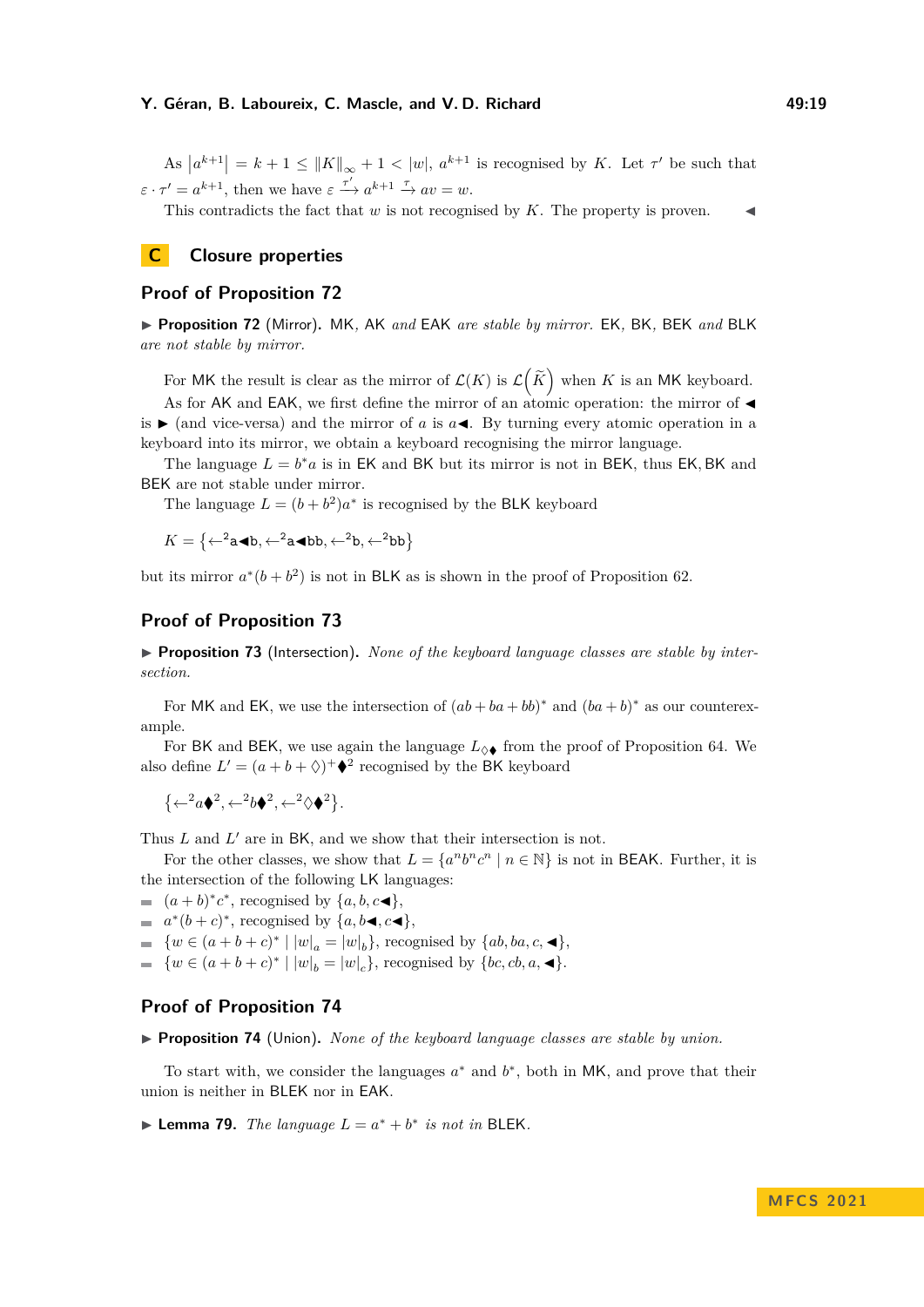As  $|a^{k+1}| = k+1 \le ||K||_{\infty} + 1 < |w|, a^{k+1}$  is recognised by *K*. Let  $\tau'$  be such that  $\varepsilon \cdot \tau' = a^{k+1}$ , then we have  $\varepsilon \stackrel{\tau'}{\longrightarrow} a^{k+1} \stackrel{\tau}{\longrightarrow} av = w$ .

This contradicts the fact that  $w$  is not recognised by  $K$ . The property is proven.

# **C Closure properties**

# **Proof of Proposition [72](#page-13-2)**

▶ **Proposition 72** (Mirror)**.** MK*,* AK *and* EAK *are stable by mirror.* EK*,* BK*,* BEK *and* BLK *are not stable by mirror.*

For MK the result is clear as the mirror of  $\mathcal{L}(K)$  is  $\mathcal{L}(\widetilde{K})$  when K is an MK keyboard. As for AK and EAK, we first define the mirror of an atomic operation: the mirror of is  $\blacktriangleright$  (and vice-versa) and the mirror of *a* is  $a \blacktriangleleft$ . By turning every atomic operation in a

keyboard into its mirror, we obtain a keyboard recognising the mirror language. The language  $L = b^*a$  is in EK and BK but its mirror is not in BEK, thus EK, BK and

BEK are not stable under mirror.

The language  $L = (b + b^2)a^*$  is recognised by the BLK keyboard

 $K = \{ \leftarrow^2 \mathbf{a} \blacktriangleleft \mathbf{b}, \leftarrow^2 \mathbf{a} \blacktriangleleft \mathbf{b} \mathbf{b}, \leftarrow^2 \mathbf{b}, \leftarrow^2 \mathbf{b} \mathbf{b} \}$ 

but its mirror  $a^*(b+b^2)$  is not in BLK as is shown in the proof of Proposition [62.](#page-12-3)

### **Proof of Proposition [73](#page-14-5)**

▶ **Proposition 73** (Intersection). *None of the keyboard language classes are stable by intersection.*

For MK and EK, we use the intersection of  $(ab + ba + bb)^*$  and  $(ba + b)^*$  as our counterexample.

For BK and BEK, we use again the language  $L_{\diamondsuit\blacklozenge}$  from the proof of Proposition [64.](#page-12-0) We also define  $L' = (a + b + \Diamond)^+ \blacklozenge^2$  recognised by the BK keyboard

$$
\{\leftarrow^2 a \blacklozenge^2, \leftarrow^2 b \blacklozenge^2, \leftarrow^2 \lozenge \blacklozenge^2\}.
$$

Thus *L* and *L'* are in BK, and we show that their intersection is not.

For the other classes, we show that  $L = \{a^n b^n c^n \mid n \in \mathbb{N}\}\$ is not in BEAK. Further, it is the intersection of the following LK languages:

- $(a + b)^* c^*$ , recognised by  $\{a, b, c \blacktriangleleft\}$ ,
- $a^*(b+c)^*$ , recognised by  $\{a, b \blacktriangleleft, c \blacktriangleleft\}$ ,
- { $w ∈ (a + b + c)^* | |w|_a = |w|_b$ }, recognised by {*ab, ba, c*, ◀},
- $\{w \in (a+b+c)^* \mid |w|_b = |w|_c\}$ , recognised by  $\{bc, cb, a, \blacktriangleleft\}$ .

#### **Proof of Proposition [74](#page-14-6)**

▶ **Proposition 74** (Union)**.** *None of the keyboard language classes are stable by union.*

To start with, we consider the languages  $a^*$  and  $b^*$ , both in MK, and prove that their union is neither in BLEK nor in EAK.

▶ **Lemma 79.** *The language*  $L = a^* + b^*$  *is not in* BLEK.